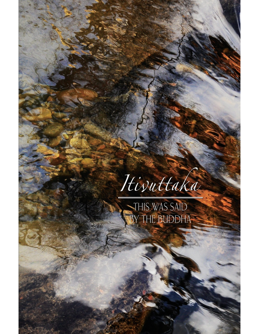

THIS WAS SAID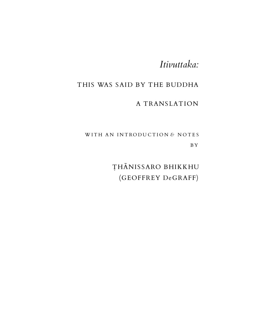## *Itivuttaka:*

### THIS WAS SAID BY THE BUDDHA

### A TRANSLATION

WITH AN INTRODUCTION & NOTES B Y

> THĀNIS SARO BHIKKHU (GEOFFREY DeGRAFF)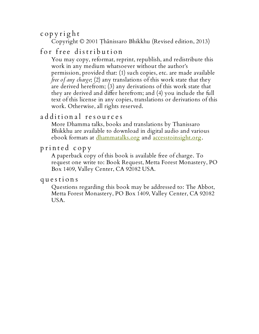c o p y ri g h t

Copyright © 2001 Ṭhānissaro Bhikkhu (Revised edition, 2013)

## for free distribution

You may copy, reformat, reprint, republish, and redistribute this work in any medium whatsoever without the author's permission, provided that: (1) such copies, etc. are made available *free of any charge*; (2) any translations of this work state that they are derived herefrom; (3) any derivations of this work state that they are derived and differ herefrom; and (4) you include the full text of this license in any copies, translations or derivations of this work. Otherwise, all rights reserved.

### a d ditional resources

More Dhamma talks, books and translations by Thanissaro Bhikkhu are available to download in digital audio and various ebook formats at <u>[dhammatalks.org](http://www.dhammatalks.org/)</u> and <u>[accesstoinsight.org](http://www.accesstoinsight.org/lib/authors/thanissaro/)</u>.

### p ri n t e d c o p y

A paperback copy of this book is available free of charge. To request one write to: Book Request, Metta Forest Monastery, PO Box 1409, Valley Center, CA 92082 USA.

#### q u e s t i on s

Questions regarding this book may be addressed to: The Abbot, Metta Forest Monastery, PO Box 1409, Valley Center, CA 92082 USA.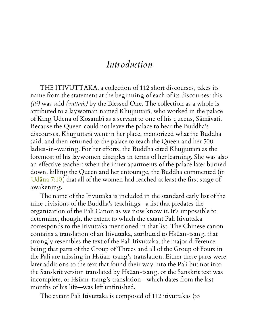## *Introduction*

THE ITIVUTTAKA, a collection of 112 short discourses, takes its name from the statement at the beginning of each of its discourses: this *(iti)* was said *(vuttaṁ)* by the Blessed One. The collection as a whole is attributed to a laywoman named Khujjuttarā, who worked in the palace of King Udena of Kosambī as a servant to one of his queens, Sāmāvati. Because the Queen could not leave the palace to hear the Buddha's discourses, Khujjuttarā went in her place, memorized what the Buddha said, and then returned to the palace to teach the Queen and her 500 ladies-in-waiting. For her efforts, the Buddha cited Khujjuttarā as the foremost of his laywomen disciples in terms of her learning. She was also an effective teacher: when the inner apartments of the palace later burned down, killing the Queen and her entourage, the Buddha commented (in [Udāna](http://www.accesstoinsight.org/tipitaka/kn/ud/ud.7.10.than.html) 7:10 ) that all of the women had reached at least the first stage of awakening.

The name of the Itivuttaka is included in the standard early list of the nine divisions of the Buddha's teachings—a list that predates the organization of the Pali Canon as we now know it. It's impossible to determine, though, the extent to which the extant Pali Itivuttaka corresponds to the Itivuttaka mentioned in that list. The Chinese canon contains a translation of an Itivuttaka, attributed to Hsüan-tsang, that strongly resembles the text of the Pali Itivuttaka, the major difference being that parts of the Group of Threes and all of the Group of Fours in the Pali are missing in Hsüan-tsang's translation. Either these parts were later additions to the text that found their way into the Pali but not into the Sanskrit version translated by Hsüan-tsang, or the Sanskrit text was incomplete, or Hsüan-tsang's translation—which dates from the last months of his life—was left unfinished.

The extant Pali Itivuttaka is composed of 112 itivuttakas (to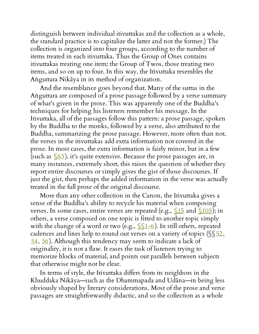distinguish between individual itivuttakas and the collection as a whole, the standard practice is to capitalize the latter and not the former.) The collection is organized into four groups, according to the number of items treated in each itivuttaka. Thus the Group of Ones contains itivuttakas treating one item; the Group of Twos, those treating two items, and so on up to four. In this way, the Itivuttaka resembles the Aṅguttara Nikāya in its method of organization.

And the resemblance goes beyond that. Many of the suttas in the Aṅguttara are composed of a prose passage followed by a verse summary of what's given in the prose. This was apparently one of the Buddha's techniques for helping his listeners remember his message. In the Itivuttaka, all of the passages follow this pattern: a prose passage, spoken by the Buddha to the monks, followed by a verse, also attributed to the Buddha, summarizing the prose passage. However, more often than not, the verses in the itivuttakas add extra information not covered in the prose. In most cases, the extra information is fairly minor, but in a few (such as  $\frac{\sqrt{63}}{1}$ , it's quite extensive. Because the prose passages are, in many instances, extremely short, this raises the question of whether they report entire discourses or simply gives the gist of those discourses. If just the gist, then perhaps the added information in the verse was actually treated in the full prose of the original discourse.

More than any other collection in the Canon, the Itivuttaka gives a sense of the Buddha's ability to recycle his material when composing verses. In some cases, entire verses are repeated (e.g.,  $\sqrt{15}$  and  $\sqrt{105}$ ); in others, a verse composed on one topic is fitted to another topic simply with the change of a word or two (e.g.,  $\sqrt{(1-6)}$ ). In still others, repeated cadences and lines help to round out verses on a variety of topics ( $\sqrt{52}$ , [54](#page-49-0), [56](#page-50-0) ). Although this tendency may seem to indicate a lack of originality, it is not a flaw. It eases the task of listeners trying to memorize blocks of material, and points out parallels between subjects that otherwise might not be clear.

In terms of style, the Itivuttaka differs from its neighbors in the Khuddaka Nikāya—such as the Dhammapada and Udāna—in being less obviously shaped by literary considerations. Most of the prose and verse passages are straightforwardly didactic, and so the collection as a whole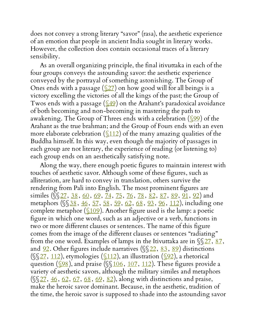does not convey a strong literary "savor" (rasa), the aesthetic experience of an emotion that people in ancient India sought in literary works. However, the collection does contain occasional traces of a literary sensibility.

As an overall organizing principle, the final itivuttaka in each of the four groups conveys the astounding savor: the aesthetic experience conveyed by the portrayal of something astonishing. The Group of Ones ends with a passage  $(\sqrt{27})$  on how good will for all beings is a victory excelling the victories of all the kings of the past; the Group of Twos ends with a passage  $(\underline{\$49})$  on the Arahant's paradoxical avoidance of both becoming and non-becoming in mastering the path to awakening. The Group of Threes ends with a celebration  $(\sqrt{99})$  of the Arahant as the true brahman; and the Group of Fours ends with an even more elaborate celebration  $(\underline{\$112})$  of the many amazing qualities of the Buddha himself. In this way, even though the majority of passages in each group are not literary, the experience of reading (or listening to) each group ends on an aesthetically satisfying note.

Along the way, there enough poetic figures to maintain interest with touches of aesthetic savor. Although some of these figures, such as alliteration, are hard to convey in translation, others survive the rendering from Pali into English. The most prominent figures are similes ( $\S 27, 38, 60, 69, 74, 75, 76, 78, 82, 87, 89, 91, 92$  $\S 27, 38, 60, 69, 74, 75, 76, 78, 82, 87, 89, 91, 92$  $\S 27, 38, 60, 69, 74, 75, 76, 78, 82, 87, 89, 91, 92$  $\S 27, 38, 60, 69, 74, 75, 76, 78, 82, 87, 89, 91, 92$  $\S 27, 38, 60, 69, 74, 75, 76, 78, 82, 87, 89, 91, 92$  $\S 27, 38, 60, 69, 74, 75, 76, 78, 82, 87, 89, 91, 92$  $\S 27, 38, 60, 69, 74, 75, 76, 78, 82, 87, 89, 91, 92$  $\S 27, 38, 60, 69, 74, 75, 76, 78, 82, 87, 89, 91, 92$  $\S 27, 38, 60, 69, 74, 75, 76, 78, 82, 87, 89, 91, 92$  $\S 27, 38, 60, 69, 74, 75, 76, 78, 82, 87, 89, 91, 92$  $\S 27, 38, 60, 69, 74, 75, 76, 78, 82, 87, 89, 91, 92$  $\S 27, 38, 60, 69, 74, 75, 76, 78, 82, 87, 89, 91, 92$  $\S 27, 38, 60, 69, 74, 75, 76, 78, 82, 87, 89, 91, 92$  $\S 27, 38, 60, 69, 74, 75, 76, 78, 82, 87, 89, 91, 92$  $\S 27, 38, 60, 69, 74, 75, 76, 78, 82, 87, 89, 91, 92$  $\S 27, 38, 60, 69, 74, 75, 76, 78, 82, 87, 89, 91, 92$  $\S 27, 38, 60, 69, 74, 75, 76, 78, 82, 87, 89, 91, 92$  $\S 27, 38, 60, 69, 74, 75, 76, 78, 82, 87, 89, 91, 92$  $\S 27, 38, 60, 69, 74, 75, 76, 78, 82, 87, 89, 91, 92$  $\S 27, 38, 60, 69, 74, 75, 76, 78, 82, 87, 89, 91, 92$  $\S 27, 38, 60, 69, 74, 75, 76, 78, 82, 87, 89, 91, 92$  $\S 27, 38, 60, 69, 74, 75, 76, 78, 82, 87, 89, 91, 92$  $\S 27, 38, 60, 69, 74, 75, 76, 78, 82, 87, 89, 91, 92$  $\S 27, 38, 60, 69, 74, 75, 76, 78, 82, 87, 89, 91, 92$  $\S 27, 38, 60, 69, 74, 75, 76, 78, 82, 87, 89, 91, 92$ ) and metaphors (\$\\famp[38](#page-32-0), [46](#page-41-0), [57,](#page-51-0) [58](#page-51-1), [59,](#page-52-1) [62,](#page-53-0) [68](#page-58-1), [93](#page-89-0), [96](#page-93-0), [112](#page-112-0)), including one complete metaphor  $(\underline{\$109})$ . Another figure used is the lamp: a poetic figure in which one word, such as an adjective or a verb, functions in two or more different clauses or sentences. The name of this figure comes from the image of the different clauses or sentences "radiating" from the one word. Examples of lamps in the Itivuttaka are in  $\S27, \underline{87}$ , and  $92$ . Other figures include narratives ( $\sqrt{\}22$ ,  $83$ ,  $89$ ) distinctions ( $\S27, 112$  $\S27, 112$  $\S27, 112$  $\S27, 112$ ), etymologies ( $\S112$ ), an illustration ( $\S22$ ), a rhetorical question ( $\sqrt{98}$ ), and praise ( $\sqrt{106}$  $\sqrt{106}$  $\sqrt{106}$ ,  $\sqrt{107}$  $\sqrt{107}$  $\sqrt{107}$ ,  $\sqrt{112}$  $\sqrt{112}$  $\sqrt{112}$ ). These figures provide a variety of aesthetic savors, although the military similes and metaphors  $(\sqrt{$27}, \frac{46}{62}, \frac{62}{67}, \frac{68}{68}, \frac{69}{62})$  $(\sqrt{$27}, \frac{46}{62}, \frac{62}{67}, \frac{68}{68}, \frac{69}{62})$  $(\sqrt{$27}, \frac{46}{62}, \frac{62}{67}, \frac{68}{68}, \frac{69}{62})$  $(\sqrt{$27}, \frac{46}{62}, \frac{62}{67}, \frac{68}{68}, \frac{69}{62})$  $(\sqrt{$27}, \frac{46}{62}, \frac{62}{67}, \frac{68}{68}, \frac{69}{62})$  $(\sqrt{$27}, \frac{46}{62}, \frac{62}{67}, \frac{68}{68}, \frac{69}{62})$  $(\sqrt{$27}, \frac{46}{62}, \frac{62}{67}, \frac{68}{68}, \frac{69}{62})$  $(\sqrt{$27}, \frac{46}{62}, \frac{62}{67}, \frac{68}{68}, \frac{69}{62})$  $(\sqrt{$27}, \frac{46}{62}, \frac{62}{67}, \frac{68}{68}, \frac{69}{62})$ , along with distinctions and praise, make the heroic savor dominant. Because, in the aesthetic, tradition of the time, the heroic savor is supposed to shade into the astounding savor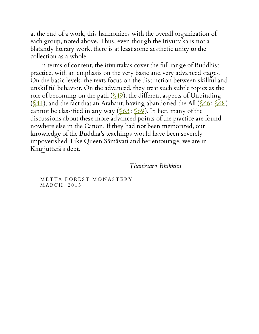at the end of a work, this harmonizes with the overall organization of each group, noted above. Thus, even though the Itivuttaka is not a blatantly literary work, there is at least some aesthetic unity to the collection as a whole.

In terms of content, the itivuttakas cover the full range of Buddhist practice, with an emphasis on the very basic and very advanced stages. On the basic levels, the texts focus on the distinction between skillful and unskillful behavior. On the advanced, they treat such subtle topics as the role of becoming on the path  $(\sqrt{49})$ , the different aspects of Unbinding  $(\underline{\sqrt{44}})$ , and the fact that an Arahant, having abandoned the All  $(\underline{\sqrt{66}}; \underline{\sqrt{68}})$ cannot be classified in any way  $(\sqrt{63}; \sqrt{69})$ . In fact, many of the discussions about these more advanced points of the practice are found nowhere else in the Canon. If they had not been memorized, our knowledge of the Buddha's teachings would have been severely impoverished. Like Queen Sāmāvati and her entourage, we are in Khujjuttarā's debt.

*Ṭhānissaro Bhikkhu*

METTA FOREST MONASTERY M A R C H, 2013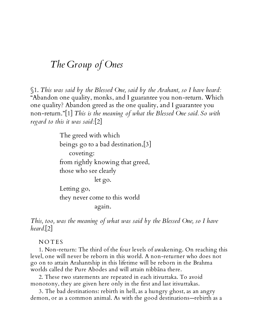## *The Group of Ones*

<span id="page-7-0"></span>§1. *This was said by the Blessed One, said by the Arahant, so I have heard:* "Abandon one quality, monks, and I guarantee you non-return. Which one quality? Abandon greed as the one quality, and I guarantee you non-return."[1] *This is the meaning of what the Blessed One said. So with regard to this it was said:*[2]

> The greed with which beings go to a bad destination,[3] coveting: from rightly knowing that greed, those who see clearly let go. Letting go, they never come to this world again.

*This, too, was the meaning of what was said by the Blessed One, so I have heard.*[2]

**NOTES** 

1. Non-return: The third of the four levels of awakening. On reaching this level, one will never be reborn in this world. A non-returner who does not go on to attain Arahantship in this lifetime will be reborn in the Brahma worlds called the Pure Abodes and will attain nibbāna there.

2. These two statements are repeated in each itivuttaka. To avoid monotony, they are given here only in the first and last itivuttakas.

3. The bad destinations: rebirth in hell, as a hungry ghost, as an angry demon, or as a common animal. As with the good destinations—rebirth as a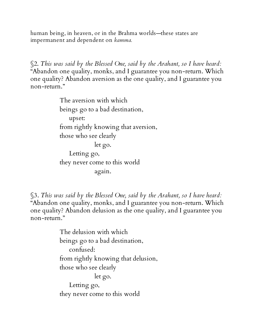human being, in heaven, or in the Brahma worlds—these states are impermanent and dependent on *kamma.*

<span id="page-8-0"></span>§2. *This was said by the Blessed One, said by the Arahant, so I have heard:* "Abandon one quality, monks, and I guarantee you non-return. Which one quality? Abandon aversion as the one quality, and I guarantee you non-return."

> The aversion with which beings go to a bad destination, upset: from rightly knowing that aversion, those who see clearly let go. Letting go, they never come to this world again.

§3. *This was said by the Blessed One, said by the Arahant, so I have heard:* "Abandon one quality, monks, and I guarantee you non-return. Which one quality? Abandon delusion as the one quality, and I guarantee you non-return."

> The delusion with which beings go to a bad destination, confused: from rightly knowing that delusion, those who see clearly let go. Letting go, they never come to this world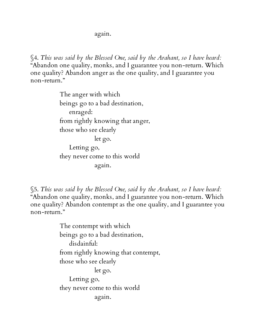again.

§4. *This was said by the Blessed One, said by the Arahant, so I have heard:* "Abandon one quality, monks, and I guarantee you non-return. Which one quality? Abandon anger as the one quality, and I guarantee you non-return."

> The anger with which beings go to a bad destination, enraged: from rightly knowing that anger, those who see clearly let go. Letting go, they never come to this world again.

§5. *This was said by the Blessed One, said by the Arahant, so I have heard:* "Abandon one quality, monks, and I guarantee you non-return. Which one quality? Abandon contempt as the one quality, and I guarantee you non-return."

> The contempt with which beings go to a bad destination, disdainful: from rightly knowing that contempt, those who see clearly let go. Letting go, they never come to this world again.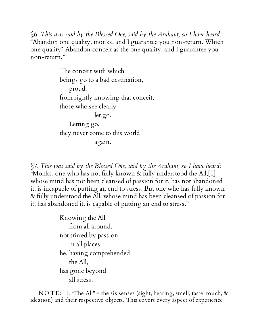§6. *This was said by the Blessed One, said by the Arahant, so I have heard:* "Abandon one quality, monks, and I guarantee you non-return. Which one quality? Abandon conceit as the one quality, and I guarantee you non-return."

> The conceit with which beings go to a bad destination, proud: from rightly knowing that conceit, those who see clearly let go. Letting go, they never come to this world again.

§7. *This was said by the Blessed One, said by the Arahant, so I have heard:* "Monks, one who has not fully known & fully understood the All,[1] whose mind has not been cleansed of passion for it, has not abandoned it, is incapable of putting an end to stress. But one who has fully known & fully understood the All, whose mind has been cleansed of passion for it, has abandoned it, is capable of putting an end to stress."

> Knowing the All from all around, not stirred by passion in all places: he, having comprehended the All, has gone beyond all stress.

N O T E: 1. "The All" = the six senses (sight, hearing, smell, taste, touch,  $\alpha$ ideation) and their respective objects. This covers every aspect of experience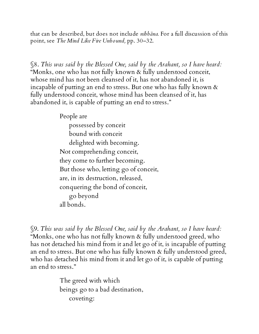that can be described, but does not include *nibbāna.* For a full discussion of this point, see *The Mind Like Fire Unbound,* pp. 30–32.

§8. *This was said by the Blessed One, said by the Arahant, so I have heard:* "Monks, one who has not fully known & fully understood conceit, whose mind has not been cleansed of it, has not abandoned it, is incapable of putting an end to stress. But one who has fully known & fully understood conceit, whose mind has been cleansed of it, has abandoned it, is capable of putting an end to stress."

People are

possessed by conceit bound with conceit delighted with becoming. Not comprehending conceit, they come to further becoming. But those who, letting go of conceit, are, in its destruction, released, conquering the bond of conceit, go beyond all bonds.

§9. *This was said by the Blessed One, said by the Arahant, so I have heard:* "Monks, one who has not fully known & fully understood greed, who has not detached his mind from it and let go of it, is incapable of putting an end to stress. But one who has fully known & fully understood greed, who has detached his mind from it and let go of it, is capable of putting an end to stress."

> The greed with which beings go to a bad destination, coveting: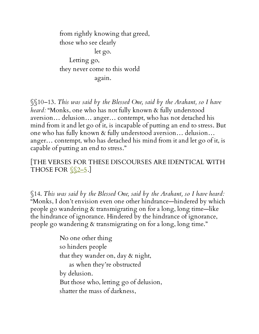from rightly knowing that greed, those who see clearly let go. Letting go, they never come to this world again.

§§10–13. *This was said by the Blessed One, said by the Arahant, so I have heard:* "Monks, one who has not fully known & fully understood aversion… delusion… anger… contempt, who has not detached his mind from it and let go of it, is incapable of putting an end to stress. But one who has fully known & fully understood aversion… delusion… anger… contempt, who has detached his mind from it and let go of it, is capable of putting an end to stress."

[THE VERSES FOR THESE DISCOURSES ARE IDENTICAL WITH THOSE FOR  $\S$  $2-5$ .

§14. *This was said by the Blessed One, said by the Arahant, so I have heard:* "Monks, I don't envision even one other hindrance—hindered by which people go wandering & transmigrating on for a long, long time—like the hindrance of ignorance. Hindered by the hindrance of ignorance, people go wandering & transmigrating on for a long, long time."

> No one other thing so hinders people that they wander on, day & night, as when they're obstructed by delusion. But those who, letting go of delusion, shatter the mass of darkness,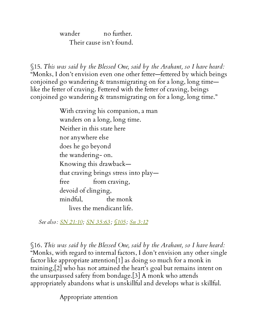wander no further. Their cause isn't found.

<span id="page-13-0"></span>§15. *This was said by the Blessed One, said by the Arahant, so I have heard:* "Monks, I don't envision even one other fetter—fettered by which beings conjoined go wandering & transmigrating on for a long, long time like the fetter of craving. Fettered with the fetter of craving, beings conjoined go wandering & transmigrating on for a long, long time."

> With craving his companion, a man wanders on a long, long time. Neither in this state here nor anywhere else does he go beyond the wandering- on. Knowing this drawback that craving brings stress into play free from craving, devoid of clinging, mindful, the monk lives the mendicant life.

*See also: SN [21:10;](http://www.accesstoinsight.org/tipitaka/sn/sn21/sn21.010.than.html) SN [35:63](http://www.accesstoinsight.org/tipitaka/sn/sn35/sn35.063.than.html) ; [§105;](#page-104-0) Sn [3:12](http://www.accesstoinsight.org/tipitaka/kn/snp/snp.3.12.than.html)*

§16. *This was said by the Blessed One, said by the Arahant, so I have heard:* "Monks, with regard to internal factors, I don't envision any other single factor like appropriate attention[1] as doing so much for a monk in training,[2] who has not attained the heart's goal but remains intent on the unsurpassed safety from bondage.[3] A monk who attends appropriately abandons what is unskillful and develops what is skillful.

Appropriate attention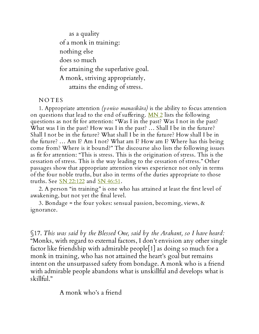as a quality of a monk in training: nothing else does so much for attaining the superlative goal. A monk, striving appropriately, attains the ending of stress.

**NOTES** 

1. Appropriate attention *(yoniso manasikāra)* is the ability to focus attention on questions that lead to the end of suffering. [MN](http://www.accesstoinsight.org/tipitaka/mn/mn.002.than.html) 2 lists the following questions as not fit for attention: "Was I in the past? Was I not in the past? What was I in the past? How was I in the past? … Shall I be in the future? Shall I not be in the future? What shall I be in the future? How shall I be in the future? … Am I? Am I not? What am I? How am I? Where has this being come from? Where is it bound?" The discourse also lists the following issues as fit for attention: "This is stress. This is the origination of stress. This is the cessation of stress. This is the way leading to the cessation of stress." Other passages show that appropriate attention views experience not only in terms of the four noble truths, but also in terms of the duties appropriate to those truths. See <u>SN [22:122](http://www.accesstoinsight.org/tipitaka/sn/sn22/sn22.122.than.html)</u> and <u>SN 46:51</u>.

2. A person "in training" is one who has attained at least the first level of awakening, but not yet the final level.

3. Bondage = the four yokes: sensual passion, becoming, views, & ignorance.

§17. *This was said by the Blessed One, said by the Arahant, so I have heard:* "Monks, with regard to external factors, I don't envision any other single factor like friendship with admirable people[1] as doing so much for a monk in training, who has not attained the heart's goal but remains intent on the unsurpassed safety from bondage. A monk who is a friend with admirable people abandons what is unskillful and develops what is skillful."

A monk who's a friend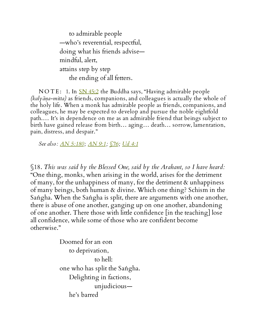to admirable people —who's reverential, respectful, doing what his friends advise mindful, alert, attains step by step the ending of all fetters.

NOTE: 1. In  $\frac{\text{SN }45:2}{\text{the }Buddha\text{ says, "Having admirable people}}$  $\frac{\text{SN }45:2}{\text{the }Buddha\text{ says, "Having admirable people}}$  $\frac{\text{SN }45:2}{\text{the }Buddha\text{ says, "Having admirable people}}$ *(kalyāṇa-mitta)* as friends, companions, and colleagues is actually the whole of the holy life. When a monk has admirable people as friends, companions, and colleagues, he may be expected to develop and pursue the noble eightfold path.… It's in dependence on me as an admirable friend that beings subject to birth have gained release from birth… aging… death… sorrow, lamentation, pain, distress, and despair."

*See also: AN [5:180;](http://www.accesstoinsight.org/tipitaka/an/an05/an05.180.than.html) [AN](http://www.accesstoinsight.org/tipitaka/an/an09/an09.001.than.html) 9:1; [§76;](#page-66-0) Ud [4:1](http://www.accesstoinsight.org/tipitaka/kn/ud/ud.4.01.than.html)*

§18. *This was said by the Blessed One, said by the Arahant, so I have heard:* "One thing, monks, when arising in the world, arises for the detriment of many, for the unhappiness of many, for the detriment & unhappiness of many beings, both human & divine. Which one thing? Schism in the Saṅgha. When the Saṅgha is split, there are arguments with one another, there is abuse of one another, ganging up on one another, abandoning of one another. There those with little confidence [in the teaching] lose all confidence, while some of those who are confident become otherwise."

> Doomed for an eon to deprivation, to hell: one who has split the Saṅgha. Delighting in factions, unjudicious he's barred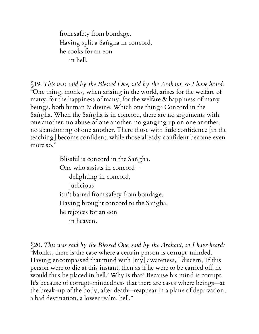from safety from bondage. Having split a Saṅgha in concord, he cooks for an eon in hell.

§19. *This was said by the Blessed One, said by the Arahant, so I have heard:* "One thing, monks, when arising in the world, arises for the welfare of many, for the happiness of many, for the welfare & happiness of many beings, both human & divine. Which one thing? Concord in the Saṅgha. When the Saṅgha is in concord, there are no arguments with one another, no abuse of one another, no ganging up on one another, no abandoning of one another. There those with little confidence [in the teaching] become confident, while those already confident become even more so."

> Blissful is concord in the Saṅgha. One who assists in concord delighting in concord, judicious isn't barred from safety from bondage. Having brought concord to the Saṅgha, he rejoices for an eon in heaven.

§20. *This was said by the Blessed One, said by the Arahant, so I have heard:* "Monks, there is the case where a certain person is corrupt-minded. Having encompassed that mind with [my] awareness, I discern, 'If this person were to die at this instant, then as if he were to be carried off, he would thus be placed in hell.' Why is that? Because his mind is corrupt. It's because of corrupt-mindedness that there are cases where beings—at the break-up of the body, after death—reappear in a plane of deprivation, a bad destination, a lower realm, hell."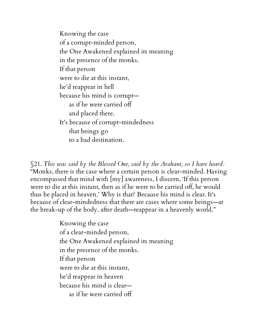Knowing the case of a corrupt-minded person, the One Awakened explained its meaning in the presence of the monks. If that person were to die at this instant, he'd reappear in hell because his mind is corrupt as if he were carried off and placed there. It's because of corrupt-mindedness that beings go to a bad destination.

§21. *This was said by the Blessed One, said by the Arahant, so I have heard:* "Monks, there is the case where a certain person is clear-minded. Having encompassed that mind with [my] awareness, I discern, 'If this person were to die at this instant, then as if he were to be carried off, he would thus be placed in heaven.' Why is that? Because his mind is clear. It's because of clear-mindedness that there are cases where some beings—at the break-up of the body, after death—reappear in a heavenly world."

> Knowing the case of a clear-minded person, the One Awakened explained its meaning in the presence of the monks. If that person were to die at this instant, he'd reappear in heaven because his mind is clear as if he were carried off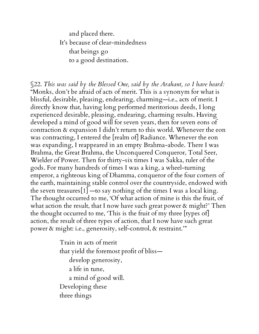and placed there. It's because of clear-mindedness that beings go to a good destination.

<span id="page-18-0"></span>§22. *This was said by the Blessed One, said by the Arahant, so I have heard:* "Monks, don't be afraid of acts of merit. This is a synonym for what is blissful, desirable, pleasing, endearing, charming—i.e., acts of merit. I directly know that, having long performed meritorious deeds, I long experienced desirable, pleasing, endearing, charming results. Having developed a mind of good will for seven years, then for seven eons of contraction & expansion I didn't return to this world. Whenever the eon was contracting, I entered the [realm of] Radiance. Whenever the eon was expanding, I reappeared in an empty Brahma-abode. There I was Brahma, the Great Brahma, the Unconquered Conqueror, Total Seer, Wielder of Power. Then for thirty-six times I was Sakka, ruler of the gods. For many hundreds of times I was a king, a wheel-turning emperor, a righteous king of Dhamma, conqueror of the four corners of the earth, maintaining stable control over the countryside, endowed with the seven treasures[1] —to say nothing of the times I was a local king. The thought occurred to me, 'Of what action of mine is this the fruit, of what action the result, that I now have such great power & might?' Then the thought occurred to me, 'This is the fruit of my three [types of] action, the result of three types of action, that I now have such great power & might: i.e., generosity, self-control, & restraint.'"

> Train in acts of merit that yield the foremost profit of bliss develop generosity, a life in tune, a mind of good will. Developing these three things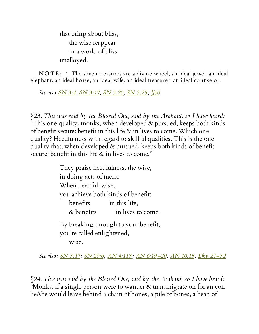that bring about bliss, the wise reappear in a world of bliss unalloyed.

NOTE: 1. The seven treasures are a divine wheel, an ideal jewel, an ideal elephant, an ideal horse, an ideal wife, an ideal treasurer, an ideal counselor.

*See also SN [3:4](http://www.accesstoinsight.org/tipitaka/sn/sn03/sn03.004.than.html), SN [3:17](http://www.accesstoinsight.org/tipitaka/sn/sn03/sn03.017.than.html), SN [3:20,](http://www.accesstoinsight.org/tipitaka/sn/sn03/sn03.020.than.html) SN [3:25;](http://www.accesstoinsight.org/tipitaka/sn/sn03/sn03.025.than.html) [§60](#page-52-0)*

§23. *This was said by the Blessed One, said by the Arahant, so I have heard:* "This one quality, monks, when developed & pursued, keeps both kinds of benefit secure: benefit in this life & in lives to come. Which one quality? Heedfulness with regard to skillful qualities. This is the one quality that, when developed & pursued, keeps both kinds of benefit secure: benefit in this life & in lives to come."

> They praise heedfulness, the wise, in doing acts of merit. When heedful, wise, you achieve both kinds of benefit: benefits in this life, & benefits in lives to come. By breaking through to your benefit, you're called enlightened, wise.

*See also: SN [3:17;](http://www.accesstoinsight.org/tipitaka/sn/sn03/sn03.017.than.html) SN [20:6](http://www.accesstoinsight.org/tipitaka/sn/sn20/sn20.006.than.html); AN [4:113](http://www.accesstoinsight.org/tipitaka/an/an04/an04.113.than.html) ; AN [6:19](http://www.accesstoinsight.org/tipitaka/an/an06/an06.019.than.html)[–20;](http://www.accesstoinsight.org/tipitaka/an/an06/an06.020.than.html) AN [10:15;](http://www.accesstoinsight.org/tipitaka/an/an10/an10.015.than.html) Dhp [21–32](http://www.accesstoinsight.org/tipitaka/kn/dhp/dhp.02.than.html)*

§24. *This was said by the Blessed One, said by the Arahant, so I have heard:* "Monks, if a single person were to wander & transmigrate on for an eon, he/she would leave behind a chain of bones, a pile of bones, a heap of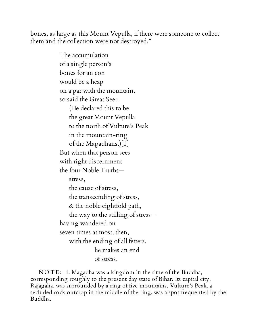bones, as large as this Mount Vepulla, if there were someone to collect them and the collection were not destroyed."

> The accumulation of a single person's bones for an eon would be a heap on a par with the mountain, so said the Great Seer. (He declared this to be the great Mount Vepulla to the north of Vulture's Peak in the mountain-ring of the Magadhans.)[1] But when that person sees with right discernment the four Noble Truths stress, the cause of stress, the transcending of stress, & the noble eightfold path, the way to the stilling of stress having wandered on seven times at most, then, with the ending of all fetters, he makes an end of stress.

NOTE: 1. Magadha was a kingdom in the time of the Buddha, corresponding roughly to the present day state of Bihar. Its capital city, Rājagaha, was surrounded by a ring of five mountains. Vulture's Peak, a secluded rock outcrop in the middle of the ring, was a spot frequented by the Buddha.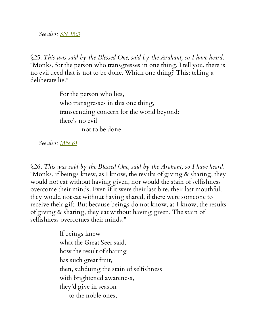*See also: SN [15:3](http://www.accesstoinsight.org/tipitaka/sn/sn15/sn15.003.than.html)*

§25. *This was said by the Blessed One, said by the Arahant, so I have heard:* "Monks, for the person who transgresses in one thing, I tell you, there is no evil deed that is not to be done. Which one thing? This: telling a deliberate lie."

> For the person who lies, who transgresses in this one thing, transcending concern for the world beyond: there's no evil not to be done.

*See also: [MN](http://www.accesstoinsight.org/tipitaka/mn/mn.061.than.html) 61*

§26. *This was said by the Blessed One, said by the Arahant, so I have heard:* "Monks, if beings knew, as I know, the results of giving & sharing, they would not eat without having given, nor would the stain of selfishness overcome their minds. Even if it were their last bite, their last mouthful, they would not eat without having shared, if there were someone to receive their gift. But because beings do not know, as I know, the results of giving & sharing, they eat without having given. The stain of selfishness overcomes their minds."

> If beings knew what the Great Seer said, how the result of sharing has such great fruit, then, subduing the stain of selfishness with brightened awareness, they'd give in season to the noble ones,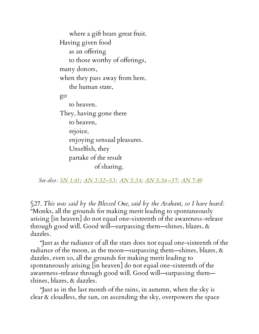where a gift bears great fruit. Having given food as an offering to those worthy of offerings, many donors, when they pass away from here, the human state, go to heaven. They, having gone there to heaven, rejoice, enjoying sensual pleasures. Unselfish, they partake of the result of sharing.

*See also: SN [1:41](http://www.accesstoinsight.org/tipitaka/sn/sn01/sn01.041.than.html); AN [3:52–53](http://www.accesstoinsight.org/tipitaka/an/an03/an03.052.than.html) ; AN [5:34;](http://www.accesstoinsight.org/tipitaka/an/an05/an05.034.than.html) AN [5:36](http://www.accesstoinsight.org/tipitaka/an/an05/an05.036.than.html)[–37](http://www.accesstoinsight.org/tipitaka/an/an05/an05.037.than.html); AN [7:49](http://www.accesstoinsight.org/tipitaka/an/an07/an07.049.than.html)*

<span id="page-22-0"></span>§27. *This was said by the Blessed One, said by the Arahant, so I have heard:* "Monks, all the grounds for making merit leading to spontaneously arising [in heaven] do not equal one-sixteenth of the awareness-release through good will. Good will—surpassing them—shines, blazes, & dazzles.

"Just as the radiance of all the stars does not equal one-sixteenth of the radiance of the moon, as the moon—surpassing them—shines, blazes,  $\&$ dazzles, even so, all the grounds for making merit leading to spontaneously arising [in heaven] do not equal one-sixteenth of the awareness-release through good will. Good will—surpassing them shines, blazes, & dazzles.

"Just as in the last month of the rains, in autumn, when the sky is clear & cloudless, the sun, on ascending the sky, overpowers the space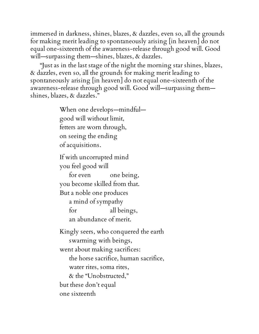immersed in darkness, shines, blazes, & dazzles, even so, all the grounds for making merit leading to spontaneously arising [in heaven] do not equal one-sixteenth of the awareness-release through good will. Good will—surpassing them—shines, blazes, & dazzles.

"Just as in the last stage of the night the morning star shines, blazes, & dazzles, even so, all the grounds for making merit leading to spontaneously arising [in heaven] do not equal one-sixteenth of the awareness-release through good will. Good will—surpassing them shines, blazes, & dazzles."

> When one develops—mindful good will without limit, fetters are worn through, on seeing the ending of acquisitions.

If with uncorrupted mind you feel good will

for even one being, you become skilled from that. But a noble one produces a mind of sympathy for all beings, an abundance of merit.

Kingly seers, who conquered the earth swarming with beings, went about making sacrifices: the horse sacrifice, human sacrifice, water rites, soma rites, & the "Unobstructed," but these don't equal one sixteenth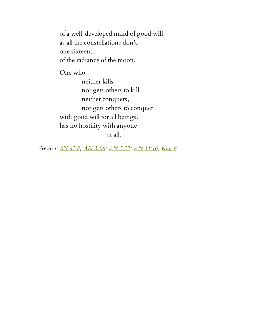of a well-developed mind of good will as all the constellations don't, one sixteenth of the radiance of the moon.

One who

neither kills nor gets others to kill, neither conquers, nor gets others to conquer, with good will for all beings, has no hostility with anyone at all.

*See also: SN [42:8](http://www.accesstoinsight.org/tipitaka/sn/sn42/sn42.008.than.html); AN [3:66](http://www.accesstoinsight.org/tipitaka/an/an03/an03.066.than.html); AN [5:27](http://www.accesstoinsight.org/tipitaka/an/an05/an05.027.than.html); AN [11:16;](http://www.accesstoinsight.org/tipitaka/an/an11/an11.016.than.html) [Khp](http://www.accesstoinsight.org/tipitaka/kn/khp/khp.1-9.than.html#khp-9) 9*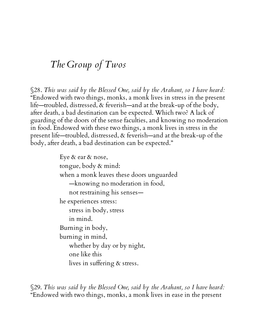# *The Group of Twos*

§28. *This was said by the Blessed One, said by the Arahant, so I have heard:* "Endowed with two things, monks, a monk lives in stress in the present life—troubled, distressed, & feverish—and at the break-up of the body, after death, a bad destination can be expected. Which two? A lack of guarding of the doors of the sense faculties, and knowing no moderation in food. Endowed with these two things, a monk lives in stress in the present life—troubled, distressed, & feverish—and at the break-up of the body, after death, a bad destination can be expected."

> Eye & ear & nose, tongue, body & mind: when a monk leaves these doors unguarded —knowing no moderation in food, not restraining his senses he experiences stress: stress in body, stress in mind. Burning in body, burning in mind, whether by day or by night, one like this lives in suffering & stress.

§29. *This was said by the Blessed One, said by the Arahant, so I have heard:* "Endowed with two things, monks, a monk lives in ease in the present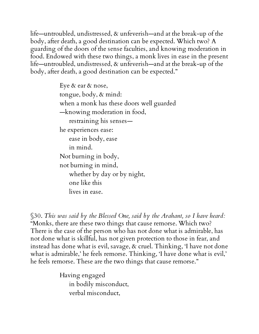life—untroubled, undistressed, & unfeverish—and at the break-up of the body, after death, a good destination can be expected. Which two? A guarding of the doors of the sense faculties, and knowing moderation in food. Endowed with these two things, a monk lives in ease in the present life—untroubled, undistressed, & unfeverish—and at the break-up of the body, after death, a good destination can be expected."

> Eye & ear & nose, tongue, body, & mind: when a monk has these doors well guarded —knowing moderation in food, restraining his senses he experiences ease: ease in body, ease in mind. Not burning in body, not burning in mind, whether by day or by night, one like this lives in ease.

§30. *This was said by the Blessed One, said by the Arahant, so I have heard:* "Monks, there are these two things that cause remorse. Which two? There is the case of the person who has not done what is admirable, has not done what is skillful, has not given protection to those in fear, and instead has done what is evil, savage, & cruel. Thinking, 'I have not done what is admirable,' he feels remorse. Thinking, 'I have done what is evil,' he feels remorse. These are the two things that cause remorse."

> Having engaged in bodily misconduct, verbal misconduct,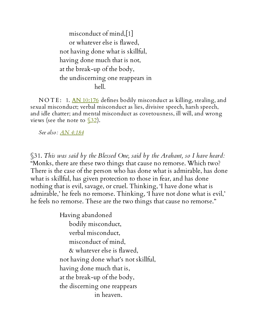misconduct of mind,[1] or whatever else is flawed, not having done what is skillful, having done much that is not, at the break-up of the body, the undiscerning one reappears in hell.

NOTE: 1. AN [10:176](http://www.accesstoinsight.org/tipitaka/an/an10/an10.176.than.html) defines bodily misconduct as killing, stealing, and sexual misconduct; verbal misconduct as lies, divisive speech, harsh speech, and idle chatter; and mental misconduct as covetousness, ill will, and wrong views (see the note to  $\sqrt{32}$ ).

*See also: AN [4:184](http://www.accesstoinsight.org/tipitaka/an/an04/an04.184.than.html)*

§31. *This was said by the Blessed One, said by the Arahant, so I have heard:* "Monks, there are these two things that cause no remorse. Which two? There is the case of the person who has done what is admirable, has done what is skillful, has given protection to those in fear, and has done nothing that is evil, savage, or cruel. Thinking, 'I have done what is admirable,' he feels no remorse. Thinking, 'I have not done what is evil,' he feels no remorse. These are the two things that cause no remorse."

> Having abandoned bodily misconduct, verbal misconduct, misconduct of mind, & whatever else is flawed, not having done what's not skillful, having done much that is, at the break-up of the body, the discerning one reappears in heaven.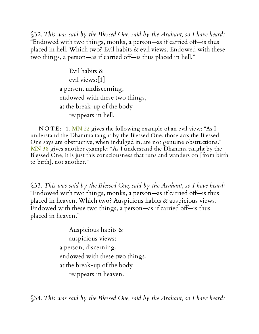<span id="page-28-0"></span>§32. *This was said by the Blessed One, said by the Arahant, so I have heard:* "Endowed with two things, monks, a person—as if carried off—is thus placed in hell. Which two? Evil habits & evil views. Endowed with these two things, a person—as if carried off—is thus placed in hell."

> Evil habits & evil views:[1] a person, undiscerning, endowed with these two things, at the break-up of the body reappears in hell.

NOTE: 1.  $MN$  22 gives the following example of an evil view: "As I understand the Dhamma taught by the Blessed One, those acts the Blessed One says are obstructive, when indulged in, are not genuine obstructions." [MN](http://www.accesstoinsight.org/tipitaka/mn/mn.038.than.html) 38 gives another example: "As I understand the Dhamma taught by the Blessed One, it is just this consciousness that runs and wanders on [from birth to birth], not another."

§33. *This was said by the Blessed One, said by the Arahant, so I have heard:* "Endowed with two things, monks, a person—as if carried off—is thus placed in heaven. Which two? Auspicious habits & auspicious views. Endowed with these two things, a person—as if carried off—is thus placed in heaven."

> Auspicious habits & auspicious views: a person, discerning, endowed with these two things, at the break-up of the body reappears in heaven.

§34. *This was said by the Blessed One, said by the Arahant, so I have heard:*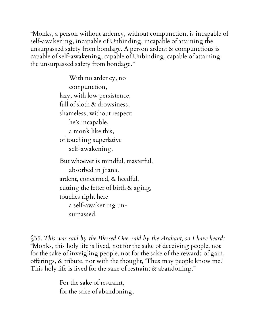"Monks, a person without ardency, without compunction, is incapable of self-awakening, incapable of Unbinding, incapable of attaining the unsurpassed safety from bondage. A person ardent & compunctious is capable of self-awakening, capable of Unbinding, capable of attaining the unsurpassed safety from bondage."

> With no ardency, no compunction, lazy, with low persistence, full of sloth & drowsiness, shameless, without respect: he's incapable, a monk like this, of touching superlative self-awakening. But whoever is mindful, masterful, absorbed in jhāna, ardent, concerned, & heedful, cutting the fetter of birth & aging, touches right here a self-awakening unsurpassed.

§35. *This was said by the Blessed One, said by the Arahant, so I have heard:* "Monks, this holy life is lived, not for the sake of deceiving people, not for the sake of inveigling people, not for the sake of the rewards of gain, offerings, & tribute, nor with the thought, 'Thus may people know me.' This holy life is lived for the sake of restraint & abandoning."

> For the sake of restraint, for the sake of abandoning,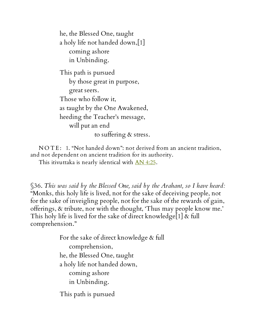he, the Blessed One, taught a holy life not handed down,[1] coming ashore in Unbinding.

This path is pursued by those great in purpose, great seers. Those who follow it, as taught by the One Awakened, heeding the Teacher's message, will put an end to suffering & stress.

NOTE: 1. "Not handed down": not derived from an ancient tradition, and not dependent on ancient tradition for its authority.

This itivuttaka is nearly identical with <u>AN [4:25](http://www.accesstoinsight.org/tipitaka/an/an04/an04.025.than.html)</u>.

§36. *This was said by the Blessed One, said by the Arahant, so I have heard:* "Monks, this holy life is lived, not for the sake of deceiving people, not for the sake of inveigling people, not for the sake of the rewards of gain, offerings, & tribute, nor with the thought, 'Thus may people know me.' This holy life is lived for the sake of direct knowledge[1] & full comprehension."

> For the sake of direct knowledge & full comprehension, he, the Blessed One, taught a holy life not handed down, coming ashore in Unbinding.

This path is pursued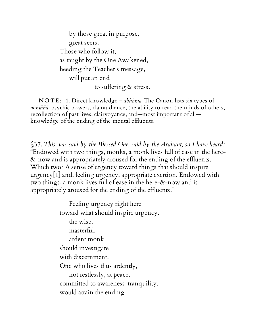by those great in purpose, great seers. Those who follow it, as taught by the One Awakened, heeding the Teacher's message, will put an end to suffering & stress.

N O T E : 1. Direct knowledge = *abhiññā.* The Canon lists six types of *abhiññā:* psychic powers, clairaudience, the ability to read the minds of others, recollection of past lives, clairvoyance, and—most important of all knowledge of the ending of the mental effluents.

§37. *This was said by the Blessed One, said by the Arahant, so I have heard:* "Endowed with two things, monks, a monk lives full of ease in the here- &-now and is appropriately aroused for the ending of the effluents. Which two? A sense of urgency toward things that should inspire urgency[1] and, feeling urgency, appropriate exertion. Endowed with two things, a monk lives full of ease in the here-&-now and is appropriately aroused for the ending of the effluents."

> Feeling urgency right here toward what should inspire urgency, the wise, masterful, ardent monk should investigate with discernment. One who lives thus ardently, not restlessly, at peace, committed to awareness-tranquility, would attain the ending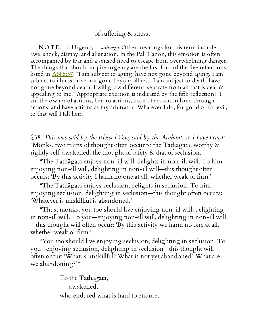#### of suffering & stress.

N O T E: 1. Urgency = *samvega*. Other meanings for this term include awe, shock, dismay, and alienation. In the Pali Canon, this emotion is often accompanied by fear and a sensed need to escape from overwhelming danger. The things that should inspire urgency are the first four of the five reflections listed in AN [5:57](http://www.accesstoinsight.org/tipitaka/an/an05/an05.057.than.html): "I am subject to aging, have not gone beyond aging. I am subject to illness, have not gone beyond illness. I am subject to death, have not gone beyond death. I will grow different, separate from all that is dear & appealing to me." Appropriate exertion is indicated by the fifth reflection: "I am the owner of actions, heir to actions, born of actions, related through actions, and have actions as my arbitrator. Whatever I do, for good or for evil, to that will I fall heir."

<span id="page-32-0"></span>§38. *This was said by the Blessed One, said by the Arahant, so I have heard:* "Monks, two trains of thought often occur to the Tathagata, worthy  $\&$ rightly self-awakened: the thought of safety & that of seclusion.

"The Tathāgata enjoys non-ill will, delights in non-ill will. To him enjoying non-ill will, delighting in non-ill will—this thought often occurs: 'By this activity I harm no one at all, whether weak or firm.'

"The Tathāgata enjoys seclusion, delights in seclusion. To him enjoying seclusion, delighting in seclusion—this thought often occurs: 'Whatever is unskillful is abandoned.'

"Thus, monks, you too should live enjoying non-ill will, delighting in non-ill will. To you—enjoying non-ill will, delighting in non-ill will —this thought will often occur: 'By this activity we harm no one at all, whether weak or firm.'

"You too should live enjoying seclusion, delighting in seclusion. To you—enjoying seclusion, delighting in seclusion—this thought will often occur: 'What is unskillful? What is not yet abandoned? What are we abandoning?'"

> To the Tathāgata, awakened, who endured what is hard to endure,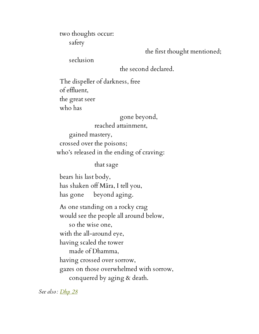two thoughts occur: safety

the first thought mentioned;

seclusion

the second declared.

The dispeller of darkness, free of effluent, the great seer who has

> gone beyond, reached attainment,

gained mastery, crossed over the poisons; who's released in the ending of craving:

that sage

bears his last body, has shaken off Māra, I tell you, has gone beyond aging.

As one standing on a rocky crag would see the people all around below,

so the wise one, with the all-around eye, having scaled the tower made of Dhamma, having crossed over sorrow, gazes on those overwhelmed with sorrow, conquered by aging & death.

*See also: [Dhp](http://www.accesstoinsight.org/tipitaka/kn/dhp/dhp.02.than.html) 28*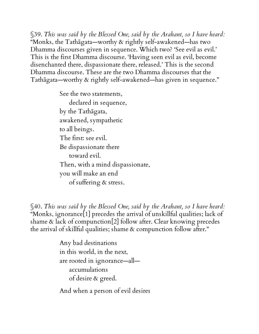§39. *This was said by the Blessed One, said by the Arahant, so I have heard:* "Monks, the Tathāgata—worthy & rightly self-awakened—has two Dhamma discourses given in sequence. Which two? 'See evil as evil.' This is the first Dhamma discourse. 'Having seen evil as evil, become disenchanted there, dispassionate there, released.' This is the second Dhamma discourse. These are the two Dhamma discourses that the Tathāgata—worthy & rightly self-awakened—has given in sequence."

> See the two statements, declared in sequence, by the Tathāgata, awakened, sympathetic to all beings. The first: see evil. Be dispassionate there toward evil. Then, with a mind dispassionate, you will make an end of suffering & stress.

§40. *This was said by the Blessed One, said by the Arahant, so I have heard:* "Monks, ignorance[1] precedes the arrival of unskillful qualities; lack of shame & lack of compunction[2] follow after. Clear knowing precedes the arrival of skillful qualities; shame & compunction follow after."

> Any bad destinations in this world, in the next, are rooted in ignorance—all accumulations of desire & greed.

And when a person of evil desires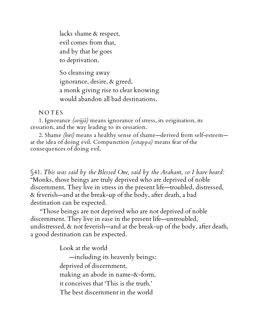lacks shame & respect, evil comes from that, and by that he goes to deprivation.

So cleansing away ignorance, desire, & greed, a monk giving rise to clear knowing would abandon all bad destinations.

#### **NOTES**

1. Ignorance *(avijjā)* means ignorance of stress, its origination, its cessation, and the way leading to its cessation.

2. Shame *(hiri)* means a healthy sense of shame—derived from self-esteem at the idea of doing evil. Compunction *(ottappa)* means fear of the consequences of doing evil.

§41. *This was said by the Blessed One, said by the Arahant, so I have heard:* "Monks, those beings are truly deprived who are deprived of noble discernment. They live in stress in the present life—troubled, distressed, & feverish—and at the break-up of the body, after death, a bad destination can be expected.

"Those beings are not deprived who are not deprived of noble discernment. They live in ease in the present life—untroubled, undistressed, & not feverish—and at the break-up of the body, after death, a good destination can be expected.

Look at the world

—including its heavenly beings: deprived of discernment, making an abode in name-&-form, it conceives that 'This is the truth.' The best discernment in the world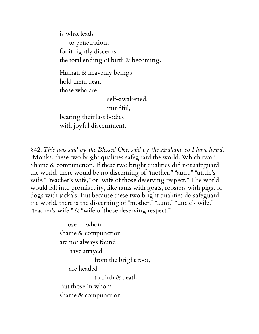is what leads to penetration, for it rightly discerns the total ending of birth & becoming.

Human & heavenly beings hold them dear: those who are

> self-awakened, mindful,

bearing their last bodies with joyful discernment.

§42. *This was said by the Blessed One, said by the Arahant, so I have heard:* "Monks, these two bright qualities safeguard the world. Which two? Shame & compunction. If these two bright qualities did not safeguard the world, there would be no discerning of "mother," "aunt," "uncle's wife," "teacher's wife," or "wife of those deserving respect." The world would fall into promiscuity, like rams with goats, roosters with pigs, or dogs with jackals. But because these two bright qualities do safeguard the world, there is the discerning of "mother," "aunt," "uncle's wife," "teacher's wife," & "wife of those deserving respect."

> Those in whom shame & compunction are not always found have strayed from the bright root, are headed to birth & death. But those in whom shame & compunction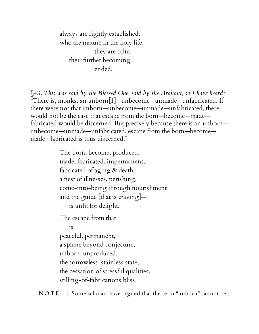always are rightly established, who are mature in the holy life: they are calm, their further becoming ended.

§43. *This was said by the Blessed One, said by the Arahant, so I have heard:* "There is, monks, an unborn[1]—unbecome—unmade—unfabricated. If there were not that unborn—unbecome—unmade—unfabricated, there would not be the case that escape from the born—become—made fabricated would be discerned. But precisely because there is an unborn unbecome—unmade—unfabricated, escape from the born—become made—fabricated is thus discerned."

> The born, become, produced, made, fabricated, impermanent, fabricated of aging & death, a nest of illnesses, perishing, come-into-being through nourishment and the guide [that is craving] is unfit for delight. The escape from that is peaceful, permanent, a sphere beyond conjecture, unborn, unproduced, the sorrowless, stainless state, the cessation of stressful qualities, stilling-of-fabrications bliss.

NOTE: 1. Some scholars have argued that the term "unborn" cannot be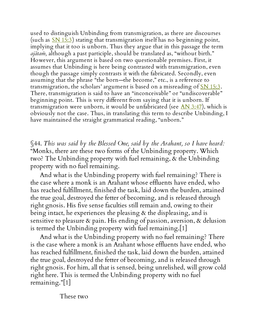used to distinguish Unbinding from transmigration, as there are discourses (such as  $\overline{SN 15:3}$  $\overline{SN 15:3}$  $\overline{SN 15:3}$ ) stating that transmigration itself has no beginning point, implying that it too is unborn. Thus they argue that in this passage the term *ajātaṁ,* although a past participle, should be translated as, "without birth." However, this argument is based on two questionable premises. First, it assumes that Unbinding is here being contrasted with transmigration, even though the passage simply contrasts it with the fabricated. Secondly, even assuming that the phrase "the born—the become," etc., is a reference to transmigration, the scholars' argument is based on a misreading of  $\frac{\text{SN 15:3}}{\dots}$  $\frac{\text{SN 15:3}}{\dots}$  $\frac{\text{SN 15:3}}{\dots}$ . There, transmigration is said to have an "inconceivable" or "undiscoverable" beginning point. This is very different from saying that it is unborn. If transmigration were unborn, it would be unfabricated (see  $\overline{AN}$  [3:47\)](http://www.accesstoinsight.org/tipitaka/an/an03/an03.047.than.html), which is obviously not the case. Thus, in translating this term to describe Unbinding, I have maintained the straight grammatical reading, "unborn."

<span id="page-38-0"></span>§44. *This was said by the Blessed One, said by the Arahant, so I have heard:* "Monks, there are these two forms of the Unbinding property. Which two? The Unbinding property with fuel remaining, & the Unbinding property with no fuel remaining.

And what is the Unbinding property with fuel remaining? There is the case where a monk is an Arahant whose effluents have ended, who has reached fulfillment, finished the task, laid down the burden, attained the true goal, destroyed the fetter of becoming, and is released through right gnosis. His five sense faculties still remain and, owing to their being intact, he experiences the pleasing  $\alpha$  the displeasing, and is sensitive to pleasure & pain. His ending of passion, aversion, & delusion is termed the Unbinding property with fuel remaining.[1]

And what is the Unbinding property with no fuel remaining? There is the case where a monk is an Arahant whose effluents have ended, who has reached fulfillment, finished the task, laid down the burden, attained the true goal, destroyed the fetter of becoming, and is released through right gnosis. For him, all that is sensed, being unrelished, will grow cold right here. This is termed the Unbinding property with no fuel remaining."[1]

These two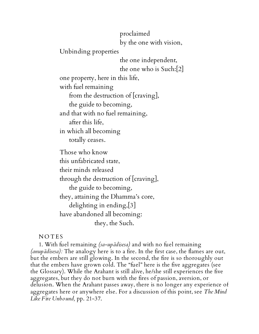proclaimed

by the one with vision,

Unbinding properties

the one independent, the one who is Such:[2] one property, here in this life, with fuel remaining

from the destruction of [craving],

the guide to becoming,

and that with no fuel remaining,

after this life,

in which all becoming

totally ceases.

Those who know this unfabricated state, their minds released through the destruction of [craving], the guide to becoming, they, attaining the Dhamma's core, delighting in ending,[3] have abandoned all becoming: they, the Such.

**NOTES** 

1. With fuel remaining *(sa-upādisesa)* and with no fuel remaining *(anupādisesa):* The analogy here is to a fire. In the first case, the flames are out, but the embers are still glowing. In the second, the fire is so thoroughly out that the embers have grown cold. The "fuel" here is the five aggregates (see the Glossary). While the Arahant is still alive, he/she still experiences the five aggregates, but they do not burn with the fires of passion, aversion, or delusion. When the Arahant passes away, there is no longer any experience of aggregates here or anywhere else. For a discussion of this point, see *The Mind Like Fire Unbound,* pp. 21-37.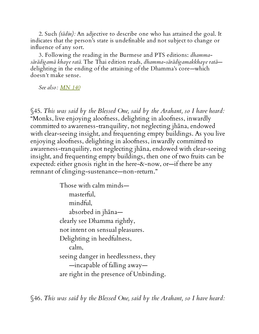2. Such *(tādin):* An adjective to describe one who has attained the goal. It indicates that the person's state is undefinable and not subject to change or influence of any sort.

3. Following the reading in the Burmese and PTS editions: *dhammasārādigamā khaye ratā.* The Thai edition reads, *dhamma-sārādigamakkhaye ratā* delighting in the ending of the attaining of the Dhamma's core—which doesn't make sense.

*See also: [MN](http://www.accesstoinsight.org/tipitaka/mn/mn.140.than.html) 140*

§45. *This was said by the Blessed One, said by the Arahant, so I have heard:* "Monks, live enjoying aloofness, delighting in aloofness, inwardly committed to awareness-tranquility, not neglecting jhāna, endowed with clear-seeing insight, and frequenting empty buildings. As you live enjoying aloofness, delighting in aloofness, inwardly committed to awareness-tranquility, not neglecting jhāna, endowed with clear-seeing insight, and frequenting empty buildings, then one of two fruits can be expected: either gnosis right in the here-&-now, or—if there be any remnant of clinging-sustenance—non-return."

> Those with calm minds masterful, mindful, absorbed in jhāna clearly see Dhamma rightly, not intent on sensual pleasures. Delighting in heedfulness, calm, seeing danger in heedlessness, they —incapable of falling away are right in the presence of Unbinding.

§46. *This was said by the Blessed One, said by the Arahant, so I have heard:*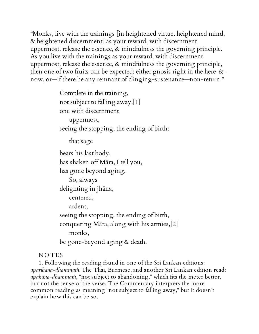"Monks, live with the trainings [in heightened virtue, heightened mind, & heightened discernment] as your reward, with discernment uppermost, release the essence, & mindfulness the governing principle. As you live with the trainings as your reward, with discernment uppermost, release the essence, & mindfulness the governing principle, then one of two fruits can be expected: either gnosis right in the here-& now, or—if there be any remnant of clinging-sustenance—non-return."

> Complete in the training, not subject to falling away,[1] one with discernment uppermost, seeing the stopping, the ending of birth: that sage bears his last body, has shaken off Māra, I tell you, has gone beyond aging. So, always delighting in jhāna, centered, ardent, seeing the stopping, the ending of birth, conquering Māra, along with his armies,[2] monks, be gone-beyond aging & death.

## **NOTES**

1. Following the reading found in one of the Sri Lankan editions: *aparihāna-dhammaṁ.* The Thai, Burmese, and another Sri Lankan edition read: *apahāna-dhammaṁ,* "not subject to abandoning," which fits the meter better, but not the sense of the verse. The Commentary interprets the more common reading as meaning "not subject to falling away," but it doesn't explain how this can be so.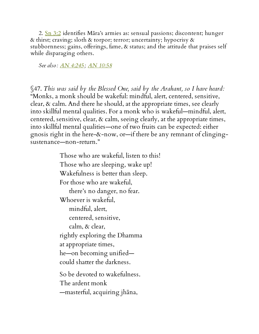2. Sn [3:2](http://www.accesstoinsight.org/tipitaka/kn/snp/snp.3.02.than.html) identifies Māra's armies as: sensual passions; discontent; hunger & thirst; craving; sloth & torpor; terror; uncertainty; hypocrisy & stubbornness; gains, offerings, fame, & status; and the attitude that praises self while disparaging others.

*See also: AN [4:245;](http://www.accesstoinsight.org/tipitaka/an/an04/an04.245.than.html) AN [10:58](http://www.accesstoinsight.org/tipitaka/an/an10/an10.058.than.html)*

§47. *This was said by the Blessed One, said by the Arahant, so I have heard:* "Monks, a monk should be wakeful: mindful, alert, centered, sensitive, clear, & calm. And there he should, at the appropriate times, see clearly into skillful mental qualities. For a monk who is wakeful—mindful, alert, centered, sensitive, clear, & calm, seeing clearly, at the appropriate times, into skillful mental qualities—one of two fruits can be expected: either gnosis right in the here-&-now, or—if there be any remnant of clingingsustenance—non-return."

> Those who are wakeful, listen to this! Those who are sleeping, wake up! Wakefulness is better than sleep. For those who are wakeful, there's no danger, no fear. Whoever is wakeful, mindful, alert, centered, sensitive, calm, & clear, rightly exploring the Dhamma at appropriate times, he—on becoming unified could shatter the darkness. So be devoted to wakefulness. The ardent monk —masterful, acquiring jhāna,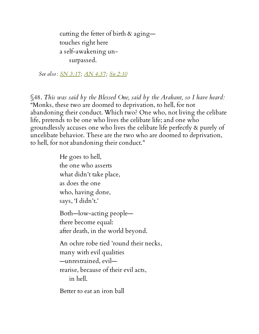cutting the fetter of birth & aging touches right here a self-awakening unsurpassed.

*See also: SN [3:17;](http://www.accesstoinsight.org/tipitaka/sn/sn03/sn03.017.than.html) AN [4:37;](http://www.accesstoinsight.org/tipitaka/an/an04/an04.037.than.html) Sn [2:10](http://www.accesstoinsight.org/tipitaka/kn/snp/snp.2.10.than.html)*

§48. *This was said by the Blessed One, said by the Arahant, so I have heard:* "Monks, these two are doomed to deprivation, to hell, for not abandoning their conduct. Which two? One who, not living the celibate life, pretends to be one who lives the celibate life; and one who groundlessly accuses one who lives the celibate life perfectly & purely of uncelibate behavior. These are the two who are doomed to deprivation, to hell, for not abandoning their conduct."

> He goes to hell, the one who asserts what didn't take place, as does the one who, having done, says, 'I didn't.' Both—low-acting people there become equal: after death, in the world beyond. An ochre robe tied 'round their necks, many with evil qualities —unrestrained, evil rearise, because of their evil acts, in hell.

Better to eat an iron ball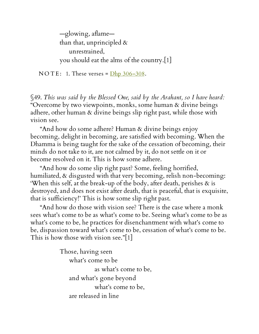—glowing, aflame than that, unprincipled  $\&$ unrestrained, you should eat the alms of the country.[1]

NOTE: 1. These verses =  $\frac{\text{Dhp } 306 - 308}{\text{Dhp } 306 - 308}$ .

§49. *This was said by the Blessed One, said by the Arahant, so I have heard:* "Overcome by two viewpoints, monks, some human & divine beings adhere, other human & divine beings slip right past, while those with vision see.

"And how do some adhere? Human & divine beings enjoy becoming, delight in becoming, are satisfied with becoming. When the Dhamma is being taught for the sake of the cessation of becoming, their minds do not take to it, are not calmed by it, do not settle on it or become resolved on it. This is how some adhere.

"And how do some slip right past? Some, feeling horrified, humiliated, & disgusted with that very becoming, relish non-becoming: 'When this self, at the break-up of the body, after death, perishes & is destroyed, and does not exist after death, that is peaceful, that is exquisite, that is sufficiency!' This is how some slip right past.

"And how do those with vision see? There is the case where a monk sees what's come to be as what's come to be. Seeing what's come to be as what's come to be, he practices for disenchantment with what's come to be, dispassion toward what's come to be, cessation of what's come to be. This is how those with vision see."[1]

> Those, having seen what's come to be as what's come to be, and what's gone beyond what's come to be, are released in line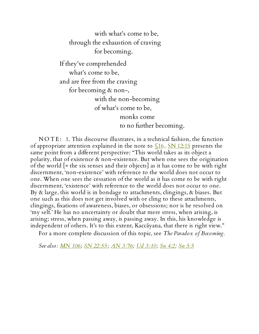with what's come to be, through the exhaustion of craving for becoming.

If they've comprehended what's come to be, and are free from the craving for becoming & non-, with the non-becoming of what's come to be, monks come to no further becoming.

NOTE: 1. This discourse illustrates, in a technical fashion, the function of appropriate attention explained in the note to  $$16$ . SN [12:15](http://www.accesstoinsight.org/tipitaka/sn/sn12/sn12.015.than.html) presents the same point from a different perspective: "This world takes as its object a polarity, that of existence & non-existence. But when one sees the origination of the world [= the six senses and their objects] as it has come to be with right discernment, 'non-existence' with reference to the world does not occur to one. When one sees the cessation of the world as it has come to be with right discernment, 'existence' with reference to the world does not occur to one. By & large, this world is in bondage to attachments, clingings, & biases. But one such as this does not get involved with or cling to these attachments, clingings, fixations of awareness, biases, or obsessions; nor is he resolved on 'my self.' He has no uncertainty or doubt that mere stress, when arising, is arising; stress, when passing away, is passing away. In this, his knowledge is independent of others. It's to this extent, Kaccāyana, that there is right view."

For a more complete discussion of this topic, see *The Paradox of Becoming.*

*See also: [MN](http://www.accesstoinsight.org/tipitaka/mn/mn.106.than.html) 106; SN [22:55](http://www.accesstoinsight.org/tipitaka/sn/sn22/sn22.055.than.html); AN [3:76](http://www.accesstoinsight.org/tipitaka/an/an03/an03.076.than.html); Ud [3:10;](http://www.accesstoinsight.org/tipitaka/kn/ud/ud.3.10.than.html) Sn [4:2](http://www.accesstoinsight.org/tipitaka/kn/snp/snp.4.02.than.html); Sn [5:5](http://www.accesstoinsight.org/tipitaka/kn/snp/snp.5.05.than.html)*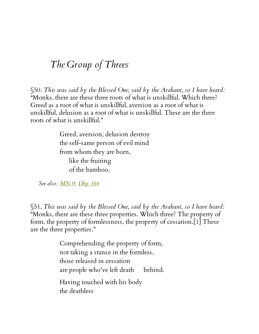## *The Group of Threes*

§50. *This was said by the Blessed One, said by the Arahant, so I have heard:* "Monks, there are these three roots of what is unskillful. Which three? Greed as a root of what is unskillful, aversion as a root of what is unskillful, delusion as a root of what is unskillful. These are the three roots of what is unskillful."

> Greed, aversion, delusion destroy the self-same person of evil mind from whom they are born, like the fruiting of the bamboo.

*See also: [MN](http://www.accesstoinsight.org/tipitaka/mn/mn.009.than.html) 9; [Dhp](http://www.accesstoinsight.org/tipitaka/kn/dhp/dhp.12.than.html) 164*

<span id="page-46-0"></span>§51. *This was said by the Blessed One, said by the Arahant, so I have heard:* "Monks, there are these three properties. Which three? The property of form, the property of formlessness, the property of cessation.[1] These are the three properties."

> Comprehending the property of form, not taking a stance in the formless, those released in cessation are people who've left death behind. Having touched with his body the deathless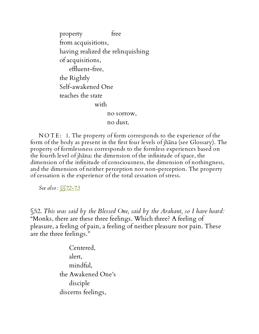property free from acquisitions, having realized the relinquishing of acquisitions, effluent-free, the Rightly Self-awakened One teaches the state with no sorrow, no dust.

NOTE: 1. The property of form corresponds to the experience of the form of the body as present in the first four levels of jhāna (see Glossary). The property of formlessness corresponds to the formless experiences based on the fourth level of jhāna: the dimension of the infinitude of space, the dimension of the infinitude of consciousness, the dimension of nothingness, and the dimension of neither perception nor non-perception. The property of cessation is the experience of the total cessation of stress.

*See also: [§§72-73](#page-61-0)*

§52. *This was said by the Blessed One, said by the Arahant, so I have heard:* "Monks, there are these three feelings. Which three? A feeling of pleasure, a feeling of pain, a feeling of neither pleasure nor pain. These are the three feelings."

> Centered, alert, mindful, the Awakened One's disciple discerns feelings,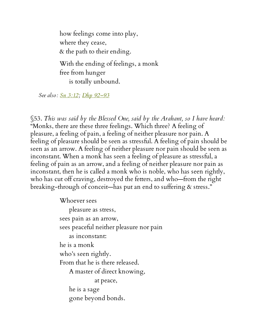how feelings come into play, where they cease, & the path to their ending. With the ending of feelings, a monk free from hunger is totally unbound.

*See also: Sn [3:12](http://www.accesstoinsight.org/tipitaka/kn/snp/snp.3.12.than.html); Dhp [92–93](http://www.accesstoinsight.org/tipitaka/kn/dhp/dhp.07.than.html)*

§53. *This was said by the Blessed One, said by the Arahant, so I have heard:* "Monks, there are these three feelings. Which three? A feeling of pleasure, a feeling of pain, a feeling of neither pleasure nor pain. A feeling of pleasure should be seen as stressful. A feeling of pain should be seen as an arrow. A feeling of neither pleasure nor pain should be seen as inconstant. When a monk has seen a feeling of pleasure as stressful, a feeling of pain as an arrow, and a feeling of neither pleasure nor pain as inconstant, then he is called a monk who is noble, who has seen rightly, who has cut off craving, destroyed the fetters, and who—from the right breaking-through of conceit—has put an end to suffering & stress."

Whoever sees

pleasure as stress, sees pain as an arrow, sees peaceful neither pleasure nor pain as inconstant: he is a monk who's seen rightly. From that he is there released. A master of direct knowing, at peace, he is a sage gone beyond bonds.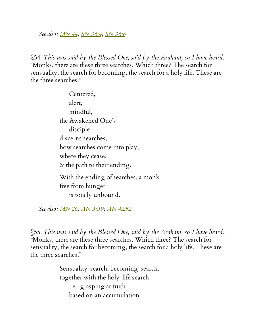*See also: [MN](http://www.accesstoinsight.org/tipitaka/mn/mn.044.than.html) 44; SN [36:4;](http://www.accesstoinsight.org/tipitaka/sn/sn36/sn36.004.than.html) SN [36:6](http://www.accesstoinsight.org/tipitaka/sn/sn36/sn36.006.than.html)*

§54. *This was said by the Blessed One, said by the Arahant, so I have heard:* "Monks, there are these three searches. Which three? The search for sensuality, the search for becoming, the search for a holy life. These are the three searches."

> Centered, alert, mindful, the Awakened One's disciple discerns searches, how searches come into play, where they cease, & the path to their ending. With the ending of searches, a monk free from hunger is totally unbound.

*See also: [MN](http://www.accesstoinsight.org/tipitaka/mn/mn.026.than.html) 26; AN [3:39](http://www.accesstoinsight.org/tipitaka/an/an03/an03.039.than.html); AN [4:252](http://www.accesstoinsight.org/tipitaka/an/an04/an04.252.than.html)*

§55. *This was said by the Blessed One, said by the Arahant, so I have heard:* "Monks, there are these three searches. Which three? The search for sensuality, the search for becoming, the search for a holy life. These are the three searches."

> Sensuality-search, becoming-search, together with the holy-life search i.e., grasping at truth based on an accumulation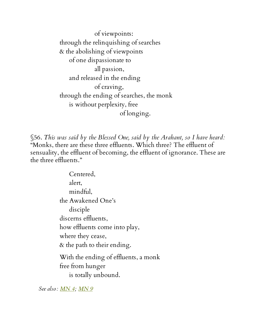of viewpoints: through the relinquishing of searches & the abolishing of viewpoints of one dispassionate to all passion, and released in the ending of craving, through the ending of searches, the monk is without perplexity, free of longing.

§56. *This was said by the Blessed One, said by the Arahant, so I have heard:* "Monks, there are these three effluents. Which three? The effluent of sensuality, the effluent of becoming, the effluent of ignorance. These are the three effluents."

> Centered, alert, mindful, the Awakened One's disciple discerns effluents, how effluents come into play, where they cease, & the path to their ending. With the ending of effluents, a monk free from hunger is totally unbound.

*See also: [MN](http://www.accesstoinsight.org/tipitaka/mn/mn.004.than.html) 4; [MN](http://www.accesstoinsight.org/tipitaka/mn/mn.009.than.html) 9*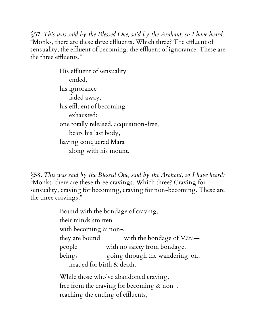§57. *This was said by the Blessed One, said by the Arahant, so I have heard:* "Monks, there are these three effluents. Which three? The effluent of sensuality, the effluent of becoming, the effluent of ignorance. These are the three effluents."

> His effluent of sensuality ended, his ignorance faded away, his effluent of becoming exhausted: one totally released, acquisition-free, bears his last body, having conquered Māra along with his mount.

§58. *This was said by the Blessed One, said by the Arahant, so I have heard:* "Monks, there are these three cravings. Which three? Craving for sensuality, craving for becoming, craving for non-becoming. These are the three cravings."

> Bound with the bondage of craving, their minds smitten with becoming & non-, they are bound with the bondage of Māra people with no safety from bondage, beings equally poing through the wandering-on, headed for birth & death.

While those who've abandoned craving, free from the craving for becoming & non-, reaching the ending of effluents,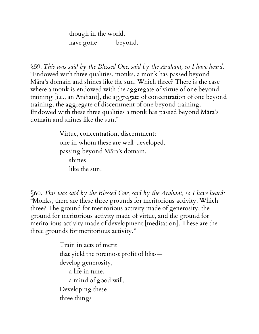though in the world, have gone beyond.

§59. *This was said by the Blessed One, said by the Arahant, so I have heard:* "Endowed with three qualities, monks, a monk has passed beyond Māra's domain and shines like the sun. Which three? There is the case where a monk is endowed with the aggregate of virtue of one beyond training [i.e., an Arahant], the aggregate of concentration of one beyond training, the aggregate of discernment of one beyond training. Endowed with these three qualities a monk has passed beyond Māra's domain and shines like the sun."

> Virtue, concentration, discernment: one in whom these are well-developed, passing beyond Māra's domain, shines like the sun.

§60. *This was said by the Blessed One, said by the Arahant, so I have heard:* "Monks, there are these three grounds for meritorious activity. Which three? The ground for meritorious activity made of generosity, the ground for meritorious activity made of virtue, and the ground for meritorious activity made of development [meditation]. These are the three grounds for meritorious activity."

> Train in acts of merit that yield the foremost profit of bliss develop generosity, a life in tune, a mind of good will. Developing these three things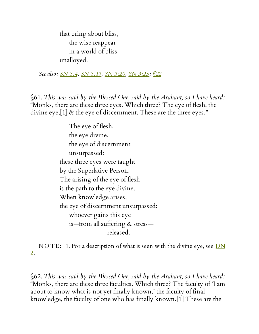that bring about bliss, the wise reappear in a world of bliss unalloyed.

*See also: SN [3:4,](http://www.accesstoinsight.org/tipitaka/sn/sn03/sn03.004.than.html) SN [3:17](http://www.accesstoinsight.org/tipitaka/sn/sn03/sn03.017.than.html), SN [3:20](http://www.accesstoinsight.org/tipitaka/sn/sn03/sn03.020.than.html), SN [3:25](http://www.accesstoinsight.org/tipitaka/sn/sn03/sn03.025.than.html); [§22](#page-18-0)*

§61. *This was said by the Blessed One, said by the Arahant, so I have heard:* "Monks, there are these three eyes. Which three? The eye of flesh, the divine eye,[1] & the eye of discernment. These are the three eyes."

> The eye of flesh, the eye divine, the eye of discernment unsurpassed: these three eyes were taught by the Superlative Person. The arising of the eye of flesh is the path to the eye divine. When knowledge arises, the eye of discernment unsurpassed: whoever gains this eye is—from all suffering & stress released.

NOTE: 1. For a [description](http://www.accesstoinsight.org/tipitaka/dn/dn.02.0.than.html) of what is seen with the divine eye, see  $DN$ 2.

§62. *This was said by the Blessed One, said by the Arahant, so I have heard:* "Monks, there are these three faculties. Which three? The faculty of 'I am about to know what is not yet finally known,' the faculty of final knowledge, the faculty of one who has finally known.[1] These are the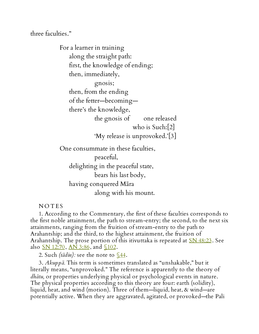three faculties."

For a learner in training along the straight path: first, the knowledge of ending; then, immediately, gnosis; then, from the ending of the fetter—becoming there's the knowledge, the gnosis of one released who is Such:[2] 'My release is unprovoked.'[3] One consummate in these faculties,

peaceful, delighting in the peaceful state, bears his last body, having conquered Māra along with his mount.

**NOTES** 

1. According to the Commentary, the first of these faculties corresponds to the first noble attainment, the path to stream-entry; the second, to the next six attainments, ranging from the fruition of stream-entry to the path to Arahantship; and the third, to the highest attainment, the fruition of Arahantship. The prose portion of this itivuttaka is repeated at <u>SN 48:23</u>. See also <u>SN 12:70</u>, <u>AN [3:86](http://www.accesstoinsight.org/tipitaka/an/an03/an03.086.than.html)</u>, and  $$102$ .

2. Such *(tādin):* see the note to [§44.](#page-38-0)

3. *Akuppā.* This term is sometimes translated as "unshakable," but it literally means, "unprovoked." The reference is apparently to the theory of *dhātu,* or properties underlying physical or psychological events in nature. The physical properties according to this theory are four: earth (solidity), liquid, heat, and wind (motion). Three of them—liquid, heat, & wind—are potentially active. When they are aggravated, agitated, or provoked—the Pali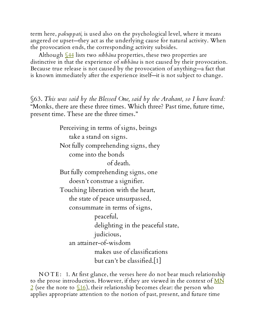term here, *pakuppati,* is used also on the psychological level, where it means angered or upset—they act as the underlying cause for natural activity. When the provocation ends, the corresponding activity subsides.

Although [§44](#page-38-0) lists two *nibbāna* properties, these two properties are distinctive in that the experience of *nibbāna* is not caused by their provocation. Because true release is not caused by the provocation of anything—a fact that is known immediately after the experience itself—it is not subject to change.

<span id="page-55-0"></span>§63. *This was said by the Blessed One, said by the Arahant, so I have heard:* "Monks, there are these three times. Which three? Past time, future time, present time. These are the three times."

> Perceiving in terms of signs, beings take a stand on signs. Not fully comprehending signs, they come into the bonds of death. But fully comprehending signs, one doesn't construe a signifier. Touching liberation with the heart, the state of peace unsurpassed, consummate in terms of signs, peaceful, delighting in the peaceful state, judicious, an attainer-of-wisdom makes use of classifications but can't be classified.[1]

NOTE: 1. At first glance, the verses here do not bear much relationship to the prose [introduction.](http://www.accesstoinsight.org/tipitaka/mn/mn.002.than.html) However, if they are viewed in the context of  $\overline{MN}$  $\frac{2}{2}$  (see the note to  $\frac{16}{2}$ ), their relationship becomes clear: the person who applies appropriate attention to the notion of past, present, and future time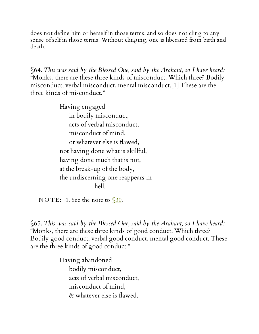does not define him or herself in those terms, and so does not cling to any sense of self in those terms. Without clinging, one is liberated from birth and death.

§64. *This was said by the Blessed One, said by the Arahant, so I have heard:* "Monks, there are these three kinds of misconduct. Which three? Bodily misconduct, verbal misconduct, mental misconduct.[1] These are the three kinds of misconduct."

> Having engaged in bodily misconduct, acts of verbal misconduct, misconduct of mind, or whatever else is flawed, not having done what is skillful, having done much that is not, at the break-up of the body, the undiscerning one reappears in hell.

NOTE: 1. See the note to  $$30$ .

§65. *This was said by the Blessed One, said by the Arahant, so I have heard:* "Monks, there are these three kinds of good conduct. Which three? Bodily good conduct, verbal good conduct, mental good conduct. These are the three kinds of good conduct."

> Having abandoned bodily misconduct, acts of verbal misconduct, misconduct of mind, & whatever else is flawed,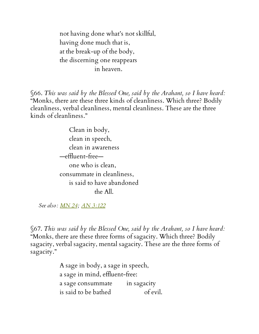not having done what's not skillful, having done much that is, at the break-up of the body, the discerning one reappears in heaven.

§66. *This was said by the Blessed One, said by the Arahant, so I have heard:* "Monks, there are these three kinds of cleanliness. Which three? Bodily cleanliness, verbal cleanliness, mental cleanliness. These are the three kinds of cleanliness."

> Clean in body, clean in speech, clean in awareness —effluent-free one who is clean, consummate in cleanliness, is said to have abandoned the All.

*See also: [MN](http://www.accesstoinsight.org/tipitaka/mn/mn.024.than.html) 24; AN [3:122](http://www.accesstoinsight.org/tipitaka/an/an03/an03.122.than.html)*

§67. *This was said by the Blessed One, said by the Arahant, so I have heard:* "Monks, there are these three forms of sagacity. Which three? Bodily sagacity, verbal sagacity, mental sagacity. These are the three forms of sagacity."

> A sage in body, a sage in speech, a sage in mind, effluent-free: a sage consummate in sagacity is said to be bathed of evil.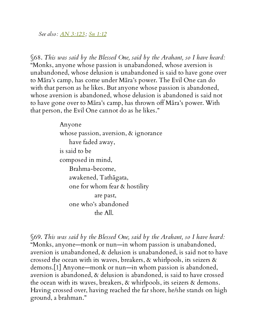*See also: AN [3:123](http://www.accesstoinsight.org/tipitaka/an/an03/an03.123.than.html) ; Sn [1:12](http://www.accesstoinsight.org/tipitaka/kn/snp/snp.1.12.than.html)*

§68. *This was said by the Blessed One, said by the Arahant, so I have heard:* "Monks, anyone whose passion is unabandoned, whose aversion is unabandoned, whose delusion is unabandoned is said to have gone over to Māra's camp, has come under Māra's power. The Evil One can do with that person as he likes. But anyone whose passion is abandoned, whose aversion is abandoned, whose delusion is abandoned is said not to have gone over to Māra's camp, has thrown off Māra's power. With that person, the Evil One cannot do as he likes."

> Anyone whose passion, aversion, & ignorance have faded away, is said to be composed in mind, Brahma-become, awakened, Tathāgata, one for whom fear & hostility are past, one who's abandoned the All.

§69. *This was said by the Blessed One, said by the Arahant, so I have heard:* "Monks, anyone—monk or nun—in whom passion is unabandoned, aversion is unabandoned, & delusion is unabandoned, is said not to have crossed the ocean with its waves, breakers, & whirlpools, its seizers & demons.[1] Anyone—monk or nun—in whom passion is abandoned, aversion is abandoned, & delusion is abandoned, is said to have crossed the ocean with its waves, breakers, & whirlpools, its seizers & demons. Having crossed over, having reached the far shore, he/she stands on high ground, a brahman."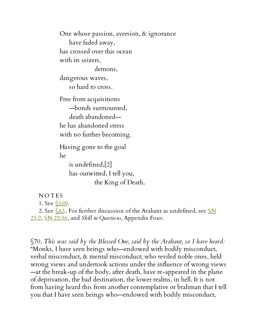One whose passion, aversion, & ignorance have faded away, has crossed over this ocean with its seizers, demons, dangerous waves, so hard to cross. Free from acquisitions —bonds surmounted, death abandoned he has abandoned stress with no further becoming. Having gone to the goal he is undefined,[2] has outwitted, I tell you, the King of Death.

**NOTES** 1. See  $$109$ .

2. See  $\sqrt{63}$ . For further discussion of the Arahant as [undefined,](http://www.accesstoinsight.org/tipitaka/sn/sn23/sn23.002.than.html) see SN 23:2, SN [22:36,](http://www.accesstoinsight.org/tipitaka/sn/sn22/sn22.036.than.html) and *Skill in Questions,* Appendix Four.

§70. *This was said by the Blessed One, said by the Arahant, so I have heard:* "Monks, I have seen beings who—endowed with bodily misconduct, verbal misconduct, & mental misconduct; who reviled noble ones, held wrong views and undertook actions under the influence of wrong views —at the break-up of the body, after death, have re-appeared in the plane of deprivation, the bad destination, the lower realms, in hell. It is not from having heard this from another contemplative or brahman that I tell you that I have seen beings who—endowed with bodily misconduct,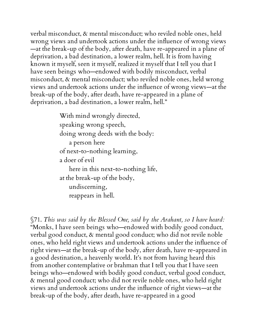verbal misconduct, & mental misconduct; who reviled noble ones, held wrong views and undertook actions under the influence of wrong views —at the break-up of the body, after death, have re-appeared in a plane of deprivation, a bad destination, a lower realm, hell. It is from having known it myself, seen it myself, realized it myself that I tell you that I have seen beings who—endowed with bodily misconduct, verbal misconduct, & mental misconduct; who reviled noble ones, held wrong views and undertook actions under the influence of wrong views—at the break-up of the body, after death, have re-appeared in a plane of deprivation, a bad destination, a lower realm, hell."

> With mind wrongly directed, speaking wrong speech, doing wrong deeds with the body: a person here of next-to-nothing learning, a doer of evil here in this next-to-nothing life, at the break-up of the body, undiscerning, reappears in hell.

§71. *This was said by the Blessed One, said by the Arahant, so I have heard:* "Monks, I have seen beings who—endowed with bodily good conduct, verbal good conduct, & mental good conduct; who did not revile noble ones, who held right views and undertook actions under the influence of right views—at the break-up of the body, after death, have re-appeared in a good destination, a heavenly world. It's not from having heard this from another contemplative or brahman that I tell you that I have seen beings who—endowed with bodily good conduct, verbal good conduct, & mental good conduct; who did not revile noble ones, who held right views and undertook actions under the influence of right views—at the break-up of the body, after death, have re-appeared in a good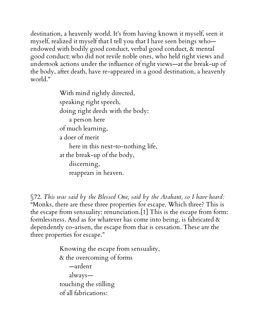destination, a heavenly world. It's from having known it myself, seen it myself, realized it myself that I tell you that I have seen beings who endowed with bodily good conduct, verbal good conduct, & mental good conduct; who did not revile noble ones, who held right views and undertook actions under the influence of right views—at the break-up of the body, after death, have re-appeared in a good destination, a heavenly world."

> With mind rightly directed, speaking right speech, doing right deeds with the body: a person here of much learning, a doer of merit here in this next-to-nothing life, at the break-up of the body, discerning, reappears in heaven.

<span id="page-61-0"></span>§72. *This was said by the Blessed One, said by the Arahant, so I have heard:* "Monks, there are these three properties for escape. Which three? This is the escape from sensuality: renunciation.[1] This is the escape from form: formlessness. And as for whatever has come into being, is fabricated  $\&$ dependently co-arisen, the escape from that is cessation. These are the three properties for escape."

> Knowing the escape from sensuality, & the overcoming of forms —ardent always touching the stilling of all fabrications: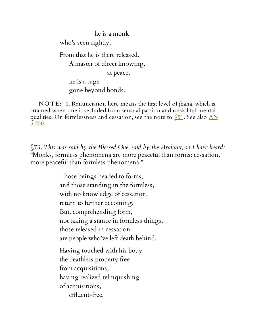he is a monk who's seen rightly. From that he is there released. A master of direct knowing, at peace, he is a sage gone beyond bonds.

N O T E : 1. Renunciation here means the first level of jhāna, which is attained when one is secluded from sensual passion and unskillful mental qualities. On [formlessness](http://www.accesstoinsight.org/tipitaka/an/an05/an05.200.than.html) and cessation, see the note to  $\S$ 51. See also AN 5:200.

§73. *This was said by the Blessed One, said by the Arahant, so I have heard:* "Monks, formless phenomena are more peaceful than forms; cessation, more peaceful than formless phenomena."

> Those beings headed to forms, and those standing in the formless, with no knowledge of cessation, return to further becoming. But, comprehending form, not taking a stance in formless things, those released in cessation are people who've left death behind. Having touched with his body the deathless property free from acquisitions, having realized relinquishing of acquisitions, effluent-free,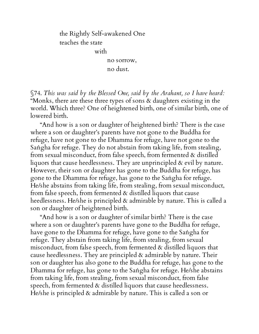the Rightly Self-awakened One teaches the state with no sorrow,

no dust.

§74. *This was said by the Blessed One, said by the Arahant, so I have heard:* "Monks, there are these three types of sons & daughters existing in the world. Which three? One of heightened birth, one of similar birth, one of lowered birth.

"And how is a son or daughter of heightened birth? There is the case where a son or daughter's parents have not gone to the Buddha for refuge, have not gone to the Dhamma for refuge, have not gone to the Saṅgha for refuge. They do not abstain from taking life, from stealing, from sexual misconduct, from false speech, from fermented & distilled liquors that cause heedlessness. They are unprincipled & evil by nature. However, their son or daughter has gone to the Buddha for refuge, has gone to the Dhamma for refuge, has gone to the Saṅgha for refuge. He/she abstains from taking life, from stealing, from sexual misconduct, from false speech, from fermented & distilled liquors that cause heedlessness. He/she is principled & admirable by nature. This is called a son or daughter of heightened birth.

"And how is a son or daughter of similar birth? There is the case where a son or daughter's parents have gone to the Buddha for refuge, have gone to the Dhamma for refuge, have gone to the Saṅgha for refuge. They abstain from taking life, from stealing, from sexual misconduct, from false speech, from fermented & distilled liquors that cause heedlessness. They are principled & admirable by nature. Their son or daughter has also gone to the Buddha for refuge, has gone to the Dhamma for refuge, has gone to the Saṅgha for refuge. He/she abstains from taking life, from stealing, from sexual misconduct, from false speech, from fermented & distilled liquors that cause heedlessness. He/she is principled & admirable by nature. This is called a son or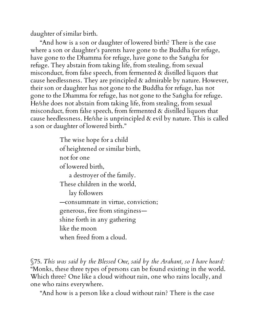daughter of similar birth.

"And how is a son or daughter of lowered birth? There is the case where a son or daughter's parents have gone to the Buddha for refuge, have gone to the Dhamma for refuge, have gone to the Saṅgha for refuge. They abstain from taking life, from stealing, from sexual misconduct, from false speech, from fermented & distilled liquors that cause heedlessness. They are principled & admirable by nature. However, their son or daughter has not gone to the Buddha for refuge, has not gone to the Dhamma for refuge, has not gone to the Saṅgha for refuge. He/she does not abstain from taking life, from stealing, from sexual misconduct, from false speech, from fermented & distilled liquors that cause heedlessness. He/she is unprincipled & evil by nature. This is called a son or daughter of lowered birth."

> The wise hope for a child of heightened or similar birth, not for one of lowered birth, a destroyer of the family. These children in the world, lay followers —consummate in virtue, conviction; generous, free from stinginess shine forth in any gathering like the moon when freed from a cloud.

§75. *This was said by the Blessed One, said by the Arahant, so I have heard:* "Monks, these three types of persons can be found existing in the world. Which three? One like a cloud without rain, one who rains locally, and one who rains everywhere.

"And how is a person like a cloud without rain? There is the case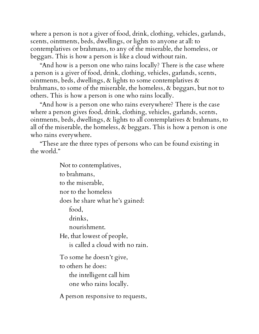where a person is not a giver of food, drink, clothing, vehicles, garlands, scents, ointments, beds, dwellings, or lights to anyone at all: to contemplatives or brahmans, to any of the miserable, the homeless, or beggars. This is how a person is like a cloud without rain.

"And how is a person one who rains locally? There is the case where a person is a giver of food, drink, clothing, vehicles, garlands, scents, ointments, beds, dwellings,  $\&$  lights to some contemplatives  $\&$ brahmans, to some of the miserable, the homeless, & beggars, but not to others. This is how a person is one who rains locally.

"And how is a person one who rains everywhere? There is the case where a person gives food, drink, clothing, vehicles, garlands, scents, ointments, beds, dwellings, & lights to all contemplatives & brahmans, to all of the miserable, the homeless, & beggars. This is how a person is one who rains everywhere.

"These are the three types of persons who can be found existing in the world."

> Not to contemplatives, to brahmans, to the miserable, nor to the homeless does he share what he's gained: food, drinks, nourishment. He, that lowest of people, is called a cloud with no rain. To some he doesn't give, to others he does: the intelligent call him one who rains locally. A person responsive to requests,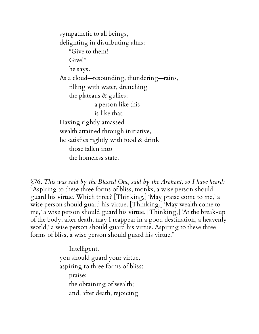sympathetic to all beings, delighting in distributing alms: "Give to them! Give!" he says. As a cloud—resounding, thundering—rains, filling with water, drenching the plateaus  $\&$  gullies: a person like this is like that. Having rightly amassed wealth attained through initiative, he satisfies rightly with food & drink those fallen into the homeless state.

§76. *This was said by the Blessed One, said by the Arahant, so I have heard:* "Aspiring to these three forms of bliss, monks, a wise person should guard his virtue. Which three? [Thinking,] 'May praise come to me,' a wise person should guard his virtue. [Thinking,] 'May wealth come to me,' a wise person should guard his virtue. [Thinking,] 'At the break-up of the body, after death, may I reappear in a good destination, a heavenly world,' a wise person should guard his virtue. Aspiring to these three forms of bliss, a wise person should guard his virtue."

> Intelligent, you should guard your virtue, aspiring to three forms of bliss: praise; the obtaining of wealth; and, after death, rejoicing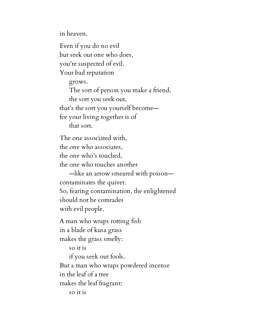in heaven.

Even if you do no evil but seek out one who does, you're suspected of evil. Your bad reputation grows. The sort of person you make a friend, the sort you seek out, that's the sort you yourself become for your living together is of that sort. The one associated with, the one who associates, the one who's touched, the one who touches another —like an arrow smeared with poison contaminates the quiver. So, fearing contamination, the enlightened should not be comrades with evil people. A man who wraps rotting fish in a blade of kusa grass makes the grass smelly: so it is if you seek out fools. But a man who wraps powdered incense in the leaf of a tree makes the leaf fragrant: so it is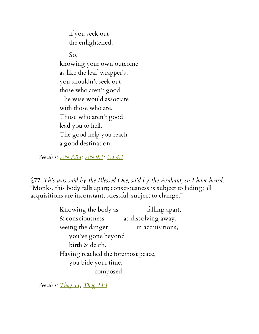if you seek out the enlightened.

So, knowing your own outcome as like the leaf-wrapper's, you shouldn't seek out those who aren't good. The wise would associate with those who are. Those who aren't good lead you to hell. The good help you reach a good destination.

*See also: AN [8:54;](http://www.accesstoinsight.org/tipitaka/an/an08/an08.054.than.html) [AN](http://www.accesstoinsight.org/tipitaka/an/an09/an09.001.than.html) 9:1; Ud [4:1](http://www.accesstoinsight.org/tipitaka/kn/ud/ud.4.01.than.html)*

§77. *This was said by the Blessed One, said by the Arahant, so I have heard:* "Monks, this body falls apart; consciousness is subject to fading; all acquisitions are inconstant, stressful, subject to change."

> Knowing the body as falling apart, & consciousness as dissolving away, seeing the danger in acquisitions, you've gone beyond birth & death. Having reached the foremost peace, you bide your time, composed.

*See also: [Thag](http://www.accesstoinsight.org/tipitaka/kn/thag/thag.11.01.than.html) 11; [Thag](http://www.accesstoinsight.org/tipitaka/kn/thag/thag.14.01.than.html) 14:1*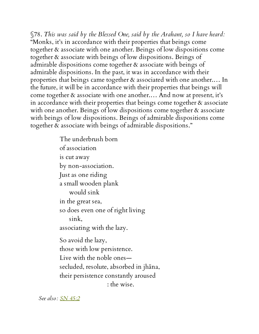§78. *This was said by the Blessed One, said by the Arahant, so I have heard:* "Monks, it's in accordance with their properties that beings come together & associate with one another. Beings of low dispositions come together & associate with beings of low dispositions. Beings of admirable dispositions come together & associate with beings of admirable dispositions. In the past, it was in accordance with their properties that beings came together & associated with one another.… In the future, it will be in accordance with their properties that beings will come together & associate with one another.… And now at present, it's in accordance with their properties that beings come together & associate with one another. Beings of low dispositions come together & associate with beings of low dispositions. Beings of admirable dispositions come together & associate with beings of admirable dispositions."

> The underbrush born of association is cut away by non-association. Just as one riding a small wooden plank would sink in the great sea, so does even one of right living sink, associating with the lazy. So avoid the lazy, those with low persistence. Live with the noble ones secluded, resolute, absorbed in jhāna, their persistence constantly aroused : the wise.

*See also: SN [45:2](http://www.accesstoinsight.org/tipitaka/sn/sn45/sn45.002.than.html)*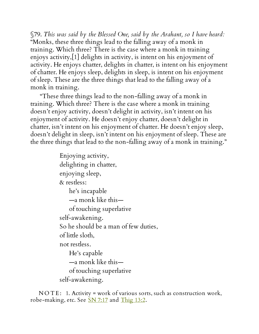§79. *This was said by the Blessed One, said by the Arahant, so I have heard:* "Monks, these three things lead to the falling away of a monk in training. Which three? There is the case where a monk in training enjoys activity,[1] delights in activity, is intent on his enjoyment of activity. He enjoys chatter, delights in chatter, is intent on his enjoyment of chatter. He enjoys sleep, delights in sleep, is intent on his enjoyment of sleep. These are the three things that lead to the falling away of a monk in training.

"These three things lead to the non-falling away of a monk in training. Which three? There is the case where a monk in training doesn't enjoy activity, doesn't delight in activity, isn't intent on his enjoyment of activity. He doesn't enjoy chatter, doesn't delight in chatter, isn't intent on his enjoyment of chatter. He doesn't enjoy sleep, doesn't delight in sleep, isn't intent on his enjoyment of sleep. These are the three things that lead to the non-falling away of a monk in training."

> Enjoying activity, delighting in chatter, enjoying sleep, & restless: he's incapable —a monk like this of touching superlative self-awakening. So he should be a man of few duties, of little sloth, not restless. He's capable —a monk like this of touching superlative self-awakening.

NOTE: 1. Activity = work of various sorts, such as construction work, robe-making, etc. See **SN [7:17](http://www.accesstoinsight.org/tipitaka/sn/sn07/sn07.017.than.html)** and [Thig](http://www.accesstoinsight.org/tipitaka/kn/thig/thig.13.02.than.html) 13:2.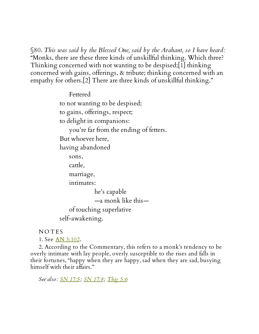§80. *This was said by the Blessed One, said by the Arahant, so I have heard:* "Monks, there are these three kinds of unskillful thinking. Which three? Thinking concerned with not wanting to be despised;[1] thinking concerned with gains, offerings, & tribute; thinking concerned with an empathy for others.[2] There are three kinds of unskillful thinking."

> Fettered to not wanting to be despised; to gains, offerings, respect; to delight in companions: you're far from the ending of fetters. But whoever here, having abandoned sons, cattle, marriage, intimates: he's capable —a monk like this of touching superlative self-awakening.

**NOTES** 

1. See AN [3:102](http://www.accesstoinsight.org/tipitaka/an/an03/an03.102.than.html).

2. According to the Commentary, this refers to a monk's tendency to be overly intimate with lay people, overly susceptible to the rises and falls in their fortunes, "happy when they are happy, sad when they are sad, busying himself with their affairs."

*See also: SN [17:5;](http://www.accesstoinsight.org/tipitaka/sn/sn17/sn17.005.than.html) SN [17:8](http://www.accesstoinsight.org/tipitaka/sn/sn17/sn17.008.than.html); [Thig](http://www.accesstoinsight.org/tipitaka/kn/thig/thig.05.06.than.html) 5:6*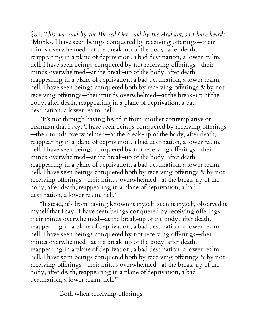§81. *This was said by the Blessed One, said by the Arahant, so I have heard:* "Monks, I have seen beings conquered by receiving offerings—their minds overwhelmed—at the break-up of the body, after death, reappearing in a plane of deprivation, a bad destination, a lower realm, hell. I have seen beings conquered by not receiving offerings—their minds overwhelmed—at the break-up of the body, after death, reappearing in a plane of deprivation, a bad destination, a lower realm, hell. I have seen beings conquered both by receiving offerings & by not receiving offerings—their minds overwhelmed—at the break-up of the body, after death, reappearing in a plane of deprivation, a bad destination, a lower realm, hell.

"It's not through having heard it from another contemplative or brahman that I say, 'I have seen beings conquered by receiving offerings —their minds overwhelmed—at the break-up of the body, after death, reappearing in a plane of deprivation, a bad destination, a lower realm, hell. I have seen beings conquered by not receiving offerings—their minds overwhelmed—at the break-up of the body, after death, reappearing in a plane of deprivation, a bad destination, a lower realm, hell. I have seen beings conquered both by receiving offerings & by not receiving offerings—their minds overwhelmed—at the break-up of the body, after death, reappearing in a plane of deprivation, a bad destination, a lower realm, hell.'

"Instead, it's from having known it myself, seen it myself, observed it myself that I say, 'I have seen beings conquered by receiving offerings their minds overwhelmed—at the break-up of the body, after death, reappearing in a plane of deprivation, a bad destination, a lower realm, hell. I have seen beings conquered by not receiving offerings—their minds overwhelmed—at the break-up of the body, after death, reappearing in a plane of deprivation, a bad destination, a lower realm, hell. I have seen beings conquered both by receiving offerings & by not receiving offerings—their minds overwhelmed—at the break-up of the body, after death, reappearing in a plane of deprivation, a bad destination, a lower realm, hell.'"

Both when receiving offerings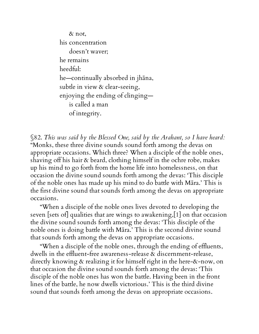& not, his concentration doesn't waver; he remains heedful: he—continually absorbed in jhāna, subtle in view & clear-seeing, enjoying the ending of clinging is called a man of integrity.

<span id="page-73-0"></span>§82. *This was said by the Blessed One, said by the Arahant, so I have heard:* "Monks, these three divine sounds sound forth among the devas on appropriate occasions. Which three? When a disciple of the noble ones, shaving off his hair & beard, clothing himself in the ochre robe, makes up his mind to go forth from the home life into homelessness, on that occasion the divine sound sounds forth among the devas: 'This disciple of the noble ones has made up his mind to do battle with Māra.' This is the first divine sound that sounds forth among the devas on appropriate occasions.

"When a disciple of the noble ones lives devoted to developing the seven [sets of] qualities that are wings to awakening,[1] on that occasion the divine sound sounds forth among the devas: 'This disciple of the noble ones is doing battle with Māra.' This is the second divine sound that sounds forth among the devas on appropriate occasions.

"When a disciple of the noble ones, through the ending of effluents, dwells in the effluent-free awareness-release & discernment-release, directly knowing & realizing it for himself right in the here-&-now, on that occasion the divine sound sounds forth among the devas: 'This disciple of the noble ones has won the battle. Having been in the front lines of the battle, he now dwells victorious.' This is the third divine sound that sounds forth among the devas on appropriate occasions.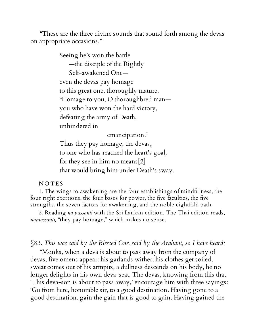"These are the three divine sounds that sound forth among the devas on appropriate occasions."

> Seeing he's won the battle —the disciple of the Rightly Self-awakened One even the devas pay homage to this great one, thoroughly mature. "Homage to you, O thoroughbred man you who have won the hard victory, defeating the army of Death, unhindered in emancipation." Thus they pay homage, the devas,

to one who has reached the heart's goal, for they see in him no means[2] that would bring him under Death's sway.

## **NOTES**

1. The wings to awakening are the four establishings of mindfulness, the four right exertions, the four bases for power, the five faculties, the five strengths, the seven factors for awakening, and the noble eightfold path.

2. Reading *na passanti* with the Sri Lankan edition. The Thai edition reads, *namassanti,* "they pay homage," which makes no sense.

§83. *This was said by the Blessed One, said by the Arahant, so I have heard:*

"Monks, when a deva is about to pass away from the company of devas, five omens appear: his garlands wither, his clothes get soiled, sweat comes out of his armpits, a dullness descends on his body, he no longer delights in his own deva-seat. The devas, knowing from this that 'This deva-son is about to pass away,' encourage him with three sayings: 'Go from here, honorable sir, to a good destination. Having gone to a good destination, gain the gain that is good to gain. Having gained the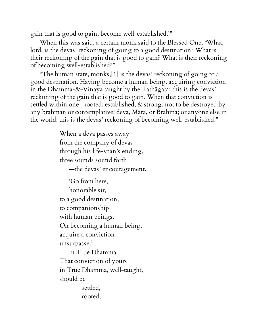gain that is good to gain, become well-established.'"

When this was said, a certain monk said to the Blessed One, "What, lord, is the devas' reckoning of going to a good destination? What is their reckoning of the gain that is good to gain? What is their reckoning of becoming well-established?"

"The human state, monks,[1] is the devas' reckoning of going to a good destination. Having become a human being, acquiring conviction in the Dhamma-&-Vinaya taught by the Tathāgata: this is the devas' reckoning of the gain that is good to gain. When that conviction is settled within one—rooted, established, & strong, not to be destroyed by any brahman or contemplative; deva, Māra, or Brahma; or anyone else in the world: this is the devas' reckoning of becoming well-established."

> When a deva passes away from the company of devas through his life-span's ending, three sounds sound forth

> > —the devas' encouragement.

'Go from here, honorable sir, to a good destination, to companionship with human beings. On becoming a human being, acquire a conviction unsurpassed in True Dhamma. That conviction of yours in True Dhamma, well-taught, should be settled, rooted,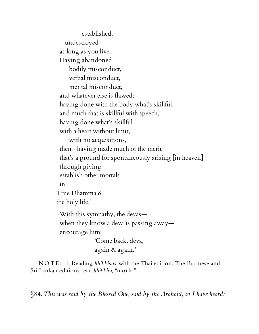established, —undestroyed as long as you live. Having abandoned bodily misconduct, verbal misconduct, mental misconduct, and whatever else is flawed; having done with the body what's skillful, and much that is skillful with speech, having done what's skillful with a heart without limit, with no acquisitions, then—having made much of the merit that's a ground for spontaneously arising [in heaven] through giving establish other mortals in True Dhamma & the holy life.' With this sympathy, the devas when they know a deva is passing away encourage him: 'Come back, deva,

again & again.'

N O T E : 1. Reading *bhikkhave* with the Thai edition. The Burmese and Sri Lankan editions read *bhikkhu,* "monk."

§84. *This was said by the Blessed One, said by the Arahant, so I have heard:*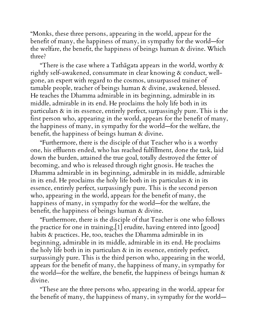"Monks, these three persons, appearing in the world, appear for the benefit of many, the happiness of many, in sympathy for the world—for the welfare, the benefit, the happiness of beings human & divine. Which three?

"There is the case where a Tathagata appears in the world, worthy  $\&$ rightly self-awakened, consummate in clear knowing & conduct, wellgone, an expert with regard to the cosmos, unsurpassed trainer of tamable people, teacher of beings human & divine, awakened, blessed. He teaches the Dhamma admirable in its beginning, admirable in its middle, admirable in its end. He proclaims the holy life both in its particulars & in its essence, entirely perfect, surpassingly pure. This is the first person who, appearing in the world, appears for the benefit of many, the happiness of many, in sympathy for the world—for the welfare, the benefit, the happiness of beings human & divine.

"Furthermore, there is the disciple of that Teacher who is a worthy one, his effluents ended, who has reached fulfillment, done the task, laid down the burden, attained the true goal, totally destroyed the fetter of becoming, and who is released through right gnosis. He teaches the Dhamma admirable in its beginning, admirable in its middle, admirable in its end. He proclaims the holy life both in its particulars  $\alpha$  in its essence, entirely perfect, surpassingly pure. This is the second person who, appearing in the world, appears for the benefit of many, the happiness of many, in sympathy for the world—for the welfare, the benefit, the happiness of beings human & divine.

"Furthermore, there is the disciple of that Teacher is one who follows the practice for one in training,[1] erudite, having entered into [good] habits & practices. He, too, teaches the Dhamma admirable in its beginning, admirable in its middle, admirable in its end. He proclaims the holy life both in its particulars & in its essence, entirely perfect, surpassingly pure. This is the third person who, appearing in the world, appears for the benefit of many, the happiness of many, in sympathy for the world—for the welfare, the benefit, the happiness of beings human  $\alpha$ divine.

"These are the three persons who, appearing in the world, appear for the benefit of many, the happiness of many, in sympathy for the world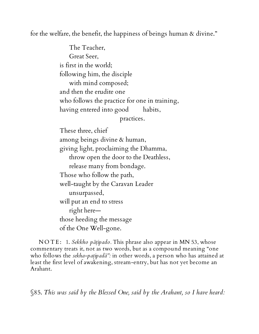for the welfare, the benefit, the happiness of beings human & divine."

The Teacher, Great Seer, is first in the world; following him, the disciple with mind composed; and then the erudite one who follows the practice for one in training, having entered into good habits, practices.

These three, chief among beings divine & human, giving light, proclaiming the Dhamma, throw open the door to the Deathless, release many from bondage. Those who follow the path, well-taught by the Caravan Leader unsurpassed, will put an end to stress right here those heeding the message of the One Well-gone.

N O T E : 1. *Sekkho pāṭipado.* This phrase also appear in MN 53, whose commentary treats it, not as two words, but as a compound meaning "one who follows the *sekha-paṭipadā":* in other words, a person who has attained at least the first level of awakening, stream-entry, but has not yet become an Arahant.

§85. *This was said by the Blessed One, said by the Arahant, so I have heard:*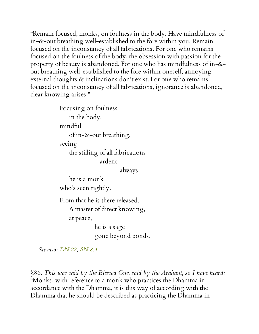"Remain focused, monks, on foulness in the body. Have mindfulness of in-&-out breathing well-established to the fore within you. Remain focused on the inconstancy of all fabrications. For one who remains focused on the foulness of the body, the obsession with passion for the property of beauty is abandoned. For one who has mindfulness of in-& out breathing well-established to the fore within oneself, annoying external thoughts & inclinations don't exist. For one who remains focused on the inconstancy of all fabrications, ignorance is abandoned, clear knowing arises."

> Focusing on foulness in the body, mindful of in-&-out breathing, seeing the stilling of all fabrications —ardent

> > always:

he is a monk who's seen rightly.

From that he is there released. A master of direct knowing, at peace,

> he is a sage gone beyond bonds.

*See also: [DN](http://www.accesstoinsight.org/tipitaka/dn/dn.22.0.than.html) 22; [SN](http://www.accesstoinsight.org/tipitaka/sn/sn08/sn08.004.than.html) 8:4*

§86. *This was said by the Blessed One, said by the Arahant, so I have heard:* "Monks, with reference to a monk who practices the Dhamma in accordance with the Dhamma, it is this way of according with the Dhamma that he should be described as practicing the Dhamma in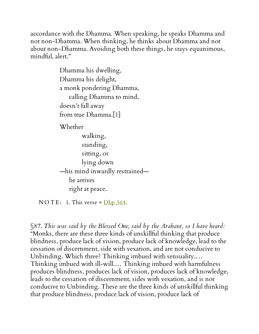accordance with the Dhamma. When speaking, he speaks Dhamma and not non-Dhamma. When thinking, he thinks about Dhamma and not about non-Dhamma. Avoiding both these things, he stays equanimous, mindful, alert."

> Dhamma his dwelling, Dhamma his delight, a monk pondering Dhamma, calling Dhamma to mind, doesn't fall away from true Dhamma.[1]

Whether

walking, standing, sitting, or lying down —his mind inwardly restrained he arrives right at peace.

NOTE: 1. This verse =  $Dhp$  364.

§87. *This was said by the Blessed One, said by the Arahant, so I have heard:* "Monks, there are these three kinds of unskillful thinking that produce blindness, produce lack of vision, produce lack of knowledge, lead to the cessation of discernment, side with vexation, and are not conducive to Unbinding. Which three? Thinking imbued with sensuality.… Thinking imbued with ill-will.… Thinking imbued with harmfulness produces blindness, produces lack of vision, produces lack of knowledge, leads to the cessation of discernment, sides with vexation, and is not conducive to Unbinding. These are the three kinds of unskillful thinking that produce blindness, produce lack of vision, produce lack of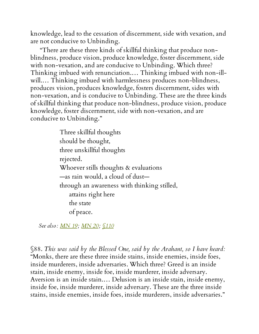knowledge, lead to the cessation of discernment, side with vexation, and are not conducive to Unbinding.

"There are these three kinds of skillful thinking that produce nonblindness, produce vision, produce knowledge, foster discernment, side with non-vexation, and are conducive to Unbinding. Which three? Thinking imbued with renunciation.… Thinking imbued with non-illwill.… Thinking imbued with harmlessness produces non-blindness, produces vision, produces knowledge, fosters discernment, sides with non-vexation, and is conducive to Unbinding. These are the three kinds of skillful thinking that produce non-blindness, produce vision, produce knowledge, foster discernment, side with non-vexation, and are conducive to Unbinding."

> Three skillful thoughts should be thought, three unskillful thoughts rejected. Whoever stills thoughts & evaluations —as rain would, a cloud of dust through an awareness with thinking stilled, attains right here the state of peace.

*See also: [MN](http://www.accesstoinsight.org/tipitaka/mn/mn.019.than.html) 19; [MN](http://www.accesstoinsight.org/tipitaka/mn/mn.020.than.html) 20; [§110](#page-109-0)*

§88. *This was said by the Blessed One, said by the Arahant, so I have heard:* "Monks, there are these three inside stains, inside enemies, inside foes, inside murderers, inside adversaries. Which three? Greed is an inside stain, inside enemy, inside foe, inside murderer, inside adversary. Aversion is an inside stain.… Delusion is an inside stain, inside enemy, inside foe, inside murderer, inside adversary. These are the three inside stains, inside enemies, inside foes, inside murderers, inside adversaries."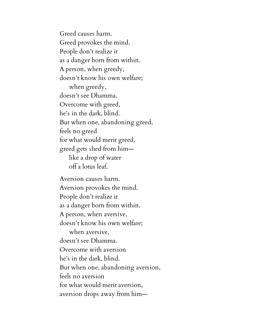Greed causes harm. Greed provokes the mind. People don't realize it as a danger born from within. A person, when greedy, doesn't know his own welfare; when greedy, doesn't see Dhamma. Overcome with greed, he's in the dark, blind. But when one, abandoning greed, feels no greed for what would merit greed, greed gets shed from him like a drop of water off a lotus leaf.

Aversion causes harm. Aversion provokes the mind. People don't realize it as a danger born from within. A person, when aversive, doesn't know his own welfare; when aversive, doesn't see Dhamma. Overcome with aversion he's in the dark, blind. But when one, abandoning aversion, feels no aversion for what would merit aversion, aversion drops away from him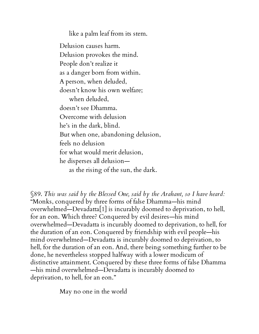like a palm leaf from its stem.

Delusion causes harm. Delusion provokes the mind. People don't realize it as a danger born from within. A person, when deluded, doesn't know his own welfare; when deluded, doesn't see Dhamma. Overcome with delusion he's in the dark, blind. But when one, abandoning delusion, feels no delusion for what would merit delusion, he disperses all delusion as the rising of the sun, the dark.

§89. *This was said by the Blessed One, said by the Arahant, so I have heard:* "Monks, conquered by three forms of false Dhamma—his mind overwhelmed—Devadatta[1] is incurably doomed to deprivation, to hell, for an eon. Which three? Conquered by evil desires—his mind overwhelmed—Devadatta is incurably doomed to deprivation, to hell, for the duration of an eon. Conquered by friendship with evil people—his mind overwhelmed—Devadatta is incurably doomed to deprivation, to hell, for the duration of an eon. And, there being something further to be done, he nevertheless stopped halfway with a lower modicum of distinctive attainment. Conquered by these three forms of false Dhamma —his mind overwhelmed—Devadatta is incurably doomed to deprivation, to hell, for an eon."

May no one in the world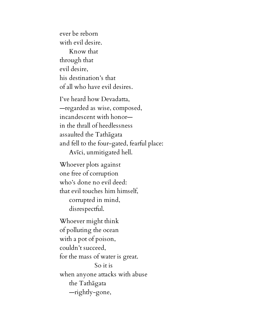ever be reborn with evil desire. Know that through that evil desire, his destination's that of all who have evil desires.

I've heard how Devadatta, —regarded as wise, composed, incandescent with honor in the thrall of heedlessness assaulted the Tathāgata and fell to the four-gated, fearful place: Avīci, unmitigated hell.

Whoever plots against one free of corruption who's done no evil deed: that evil touches him himself, corrupted in mind, disrespectful.

Whoever might think of polluting the ocean with a pot of poison, couldn't succeed, for the mass of water is great. So it is when anyone attacks with abuse the Tathāgata —rightly-gone,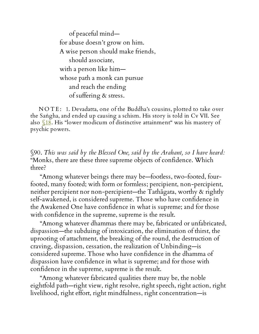of peaceful mind for abuse doesn't grow on him. A wise person should make friends, should associate, with a person like him whose path a monk can pursue and reach the ending of suffering & stress.

N O T E : 1. Devadatta, one of the Buddha's cousins, plotted to take over the Saṅgha, and ended up causing a schism. His story is told in Cv VII. See also  $$18$ . His "lower modicum of distinctive attainment" was his mastery of psychic powers.

§90. *This was said by the Blessed One, said by the Arahant, so I have heard:* "Monks, there are these three supreme objects of confidence. Which three?

"Among whatever beings there may be—footless, two-footed, fourfooted, many footed; with form or formless; percipient, non-percipient, neither percipient nor non-percipient—the Tathāgata, worthy & rightly self-awakened, is considered supreme. Those who have confidence in the Awakened One have confidence in what is supreme; and for those with confidence in the supreme, supreme is the result.

"Among whatever dhammas there may be, fabricated or unfabricated, dispassion—the subduing of intoxication, the elimination of thirst, the uprooting of attachment, the breaking of the round, the destruction of craving, dispassion, cessation, the realization of Unbinding—is considered supreme. Those who have confidence in the dhamma of dispassion have confidence in what is supreme; and for those with confidence in the supreme, supreme is the result.

"Among whatever fabricated qualities there may be, the noble eightfold path—right view, right resolve, right speech, right action, right livelihood, right effort, right mindfulness, right concentration—is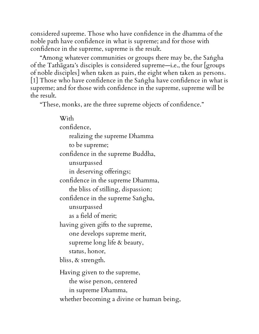considered supreme. Those who have confidence in the dhamma of the noble path have confidence in what is supreme; and for those with confidence in the supreme, supreme is the result.

"Among whatever communities or groups there may be, the Saṅgha of the Tathāgata's disciples is considered supreme—i.e., the four [groups of noble disciples] when taken as pairs, the eight when taken as persons. [1] Those who have confidence in the Saṅgha have confidence in what is supreme; and for those with confidence in the supreme, supreme will be the result.

"These, monks, are the three supreme objects of confidence."

With confidence, realizing the supreme Dhamma to be supreme; confidence in the supreme Buddha, unsurpassed in deserving offerings; confidence in the supreme Dhamma, the bliss of stilling, dispassion; confidence in the supreme Saṅgha, unsurpassed as a field of merit; having given gifts to the supreme, one develops supreme merit, supreme long life & beauty, status, honor, bliss, & strength. Having given to the supreme, the wise person, centered in supreme Dhamma, whether becoming a divine or human being,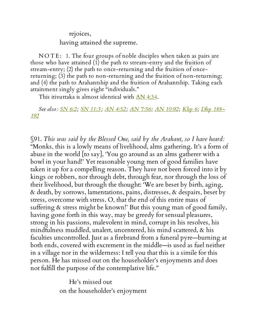rejoices,

having attained the supreme.

NOTE: 1. The four groups of noble disciples when taken as pairs are those who have attained (1) the path to stream-entry and the fruition of stream-entry; (2) the path to once-returning and the fruition of oncereturning; (3) the path to non-returning and the fruition of non-returning; and (4) the path to Arahantship and the fruition of Arahantship. Taking each attainment singly gives eight "individuals."

This itivuttaka is almost identical with AN [4:34](http://www.accesstoinsight.org/tipitaka/an/an04/an04.034.than.html).

*See also: [SN](http://www.accesstoinsight.org/tipitaka/sn/sn06/sn06.002.than.html) 6:2; SN [11:3](http://www.accesstoinsight.org/tipitaka/sn/sn11/sn11.003.than.html) ; AN [4:52;](http://www.accesstoinsight.org/tipitaka/an/an04/an04.052.than.html) AN [7:56;](http://www.accesstoinsight.org/tipitaka/an/an07/an07.056.than.html) AN [10:92](http://www.accesstoinsight.org/tipitaka/an/an10/an10.092.than.html)[;](http://www.accesstoinsight.org/tipitaka/kn/dhp/dhp.14.than.html) [Khp](http://www.accesstoinsight.org/tipitaka/kn/khp/khp.1-9.than.html#khp-6) 6; Dhp 188– 192*

§91. *This was said by the Blessed One, said by the Arahant, so I have heard:* "Monks, this is a lowly means of livelihood, alms gathering. It's a form of abuse in the world [to say], 'You go around as an alms gatherer with a bowl in your hand!' Yet reasonable young men of good families have taken it up for a compelling reason. They have not been forced into it by kings or robbers, nor through debt, through fear, nor through the loss of their livelihood, but through the thought: 'We are beset by birth, aging, & death, by sorrows, lamentations, pains, distresses, & despairs, beset by stress, overcome with stress. O, that the end of this entire mass of suffering & stress might be known!' But this young man of good family, having gone forth in this way, may be greedy for sensual pleasures, strong in his passions, malevolent in mind, corrupt in his resolves, his mindfulness muddled, unalert, uncentered, his mind scattered, & his faculties uncontrolled. Just as a firebrand from a funeral pyre—burning at both ends, covered with excrement in the middle—is used as fuel neither in a village nor in the wilderness: I tell you that this is a simile for this person. He has missed out on the householder's enjoyments and does not fulfill the purpose of the contemplative life."

> He's missed out on the householder's enjoyment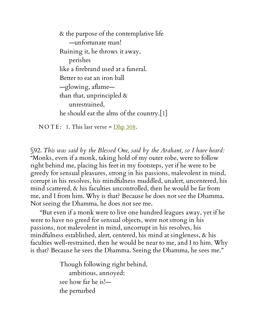& the purpose of the contemplative life —unfortunate man! Ruining it, he throws it away, perishes like a firebrand used at a funeral. Better to eat an iron ball —glowing, aflame than that, unprincipled  $\&$ unrestrained, he should eat the alms of the country.[1]

N O T E: 1. This last verse =  $\frac{\text{Dhp }308}{\text{Dhp }308}$  $\frac{\text{Dhp }308}{\text{Dhp }308}$  $\frac{\text{Dhp }308}{\text{Dhp }308}$ .

§92. *This was said by the Blessed One, said by the Arahant, so I have heard:* "Monks, even if a monk, taking hold of my outer robe, were to follow right behind me, placing his feet in my footsteps, yet if he were to be greedy for sensual pleasures, strong in his passions, malevolent in mind, corrupt in his resolves, his mindfulness muddled, unalert, uncentered, his mind scattered, & his faculties uncontrolled, then he would be far from me, and I from him. Why is that? Because he does not see the Dhamma. Not seeing the Dhamma, he does not see me.

"But even if a monk were to live one hundred leagues away, yet if he were to have no greed for sensual objects, were not strong in his passions, not malevolent in mind, uncorrupt in his resolves, his mindfulness established, alert, centered, his mind at singleness, & his faculties well-restrained, then he would be near to me, and I to him. Why is that? Because he sees the Dhamma. Seeing the Dhamma, he sees me."

> Though following right behind, ambitious, annoyed: see how far he is! the perturbed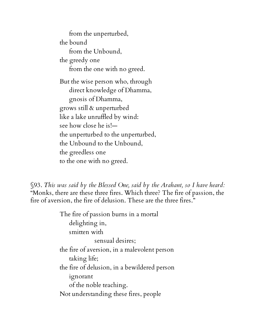from the unperturbed, the bound from the Unbound, the greedy one from the one with no greed. But the wise person who, through direct knowledge of Dhamma, gnosis of Dhamma, grows still & unperturbed like a lake unruffled by wind: see how close he is! the unperturbed to the unperturbed, the Unbound to the Unbound, the greedless one to the one with no greed.

§93. *This was said by the Blessed One, said by the Arahant, so I have heard:* "Monks, there are these three fires. Which three? The fire of passion, the fire of aversion, the fire of delusion. These are the three fires."

> The fire of passion burns in a mortal delighting in, smitten with sensual desires; the fire of aversion, in a malevolent person taking life; the fire of delusion, in a bewildered person ignorant of the noble teaching. Not understanding these fires, people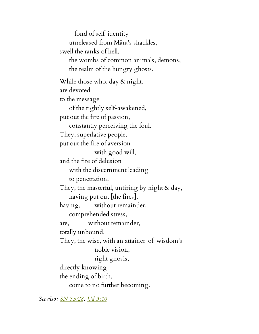—fond of self-identity unreleased from Māra's shackles, swell the ranks of hell, the wombs of common animals, demons, the realm of the hungry ghosts. While those who, day & night, are devoted to the message of the rightly self-awakened, put out the fire of passion, constantly perceiving the foul. They, superlative people, put out the fire of aversion with good will, and the fire of delusion with the discernment leading to penetration. They, the masterful, untiring by night & day, having put out [the fires], having, without remainder, comprehended stress, are, without remainder, totally unbound. They, the wise, with an attainer-of-wisdom's noble vision, right gnosis, directly knowing the ending of birth, come to no further becoming.

*See also: SN [35:28](http://www.accesstoinsight.org/tipitaka/sn/sn35/sn35.028.than.html); Ud [3:10](http://www.accesstoinsight.org/tipitaka/kn/ud/ud.3.10.than.html)*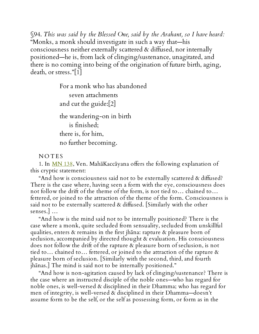§94. *This was said by the Blessed One, said by the Arahant, so I have heard:* "Monks, a monk should investigate in such a way that—his consciousness neither externally scattered & diffused, nor internally positioned—he is, from lack of clinging/sustenance, unagitated, and there is no coming into being of the origination of future birth, aging, death, or stress."[1]

> For a monk who has abandoned seven attachments and cut the guide:[2] the wandering-on in birth is finished; there is, for him, no further becoming.

## **NOTES**

1. In [MN](http://www.accesstoinsight.org/tipitaka/mn/mn.138.than.html) 138, Ven. MahāKaccāyana offers the following explanation of this cryptic statement:

"And how is consciousness said not to be externally scattered & diffused? There is the case where, having seen a form with the eye, consciousness does not follow the drift of the theme of the form, is not tied to… chained to… fettered, or joined to the attraction of the theme of the form. Consciousness is said not to be externally scattered & diffused. [Similarly with the other senses.] …

"And how is the mind said not to be internally positioned? There is the case where a monk, quite secluded from sensuality, secluded from unskillful qualities, enters & remains in the first jhāna: rapture & pleasure born of seclusion, accompanied by directed thought & evaluation. His consciousness does not follow the drift of the rapture & pleasure born of seclusion, is not tied to… chained to… fettered, or joined to the attraction of the rapture & pleasure born of seclusion. [Similarly with the second, third, and fourth jhānas.] The mind is said not to be internally positioned."

"And how is non-agitation caused by lack of clinging/sustenance? There is the case where an instructed disciple of the noble ones—who has regard for noble ones, is well-versed & disciplined in their Dhamma; who has regard for men of integrity, is well-versed & disciplined in their Dhamma—doesn't assume form to be the self, or the self as possessing form, or form as in the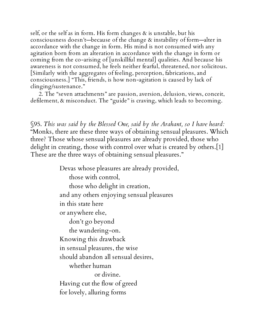self, or the self as in form. His form changes & is unstable, but his consciousness doesn't—because of the change & instability of form—alter in accordance with the change in form. His mind is not consumed with any agitation born from an alteration in accordance with the change in form or coming from the co-arising of [unskillful mental] qualities. And because his awareness is not consumed, he feels neither fearful, threatened, nor solicitous. [Similarly with the aggregates of feeling, perception, fabrications, and consciousness.] "This, friends, is how non-agitation is caused by lack of clinging/sustenance."

2. The "seven attachments" are passion, aversion, delusion, views, conceit, defilement, & misconduct. The "guide" is craving, which leads to becoming.

§95. *This was said by the Blessed One, said by the Arahant, so I have heard:* "Monks, there are these three ways of obtaining sensual pleasures. Which three? Those whose sensual pleasures are already provided, those who delight in creating, those with control over what is created by others.[1] These are the three ways of obtaining sensual pleasures."

> Devas whose pleasures are already provided, those with control, those who delight in creation, and any others enjoying sensual pleasures in this state here or anywhere else, don't go beyond the wandering-on. Knowing this drawback in sensual pleasures, the wise should abandon all sensual desires, whether human or divine. Having cut the flow of greed for lovely, alluring forms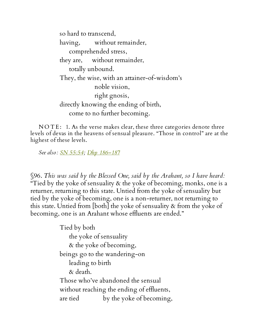so hard to transcend, having, without remainder, comprehended stress, they are, without remainder, totally unbound. They, the wise, with an attainer-of-wisdom's noble vision, right gnosis, directly knowing the ending of birth, come to no further becoming.

NOTE: 1. As the verse makes clear, these three categories denote three levels of devas in the heavens of sensual pleasure. "Those in control" are at the highest of these levels.

*See also: SN [55:54](http://www.accesstoinsight.org/tipitaka/sn/sn55/sn55.054.than.html); Dhp [186–187](http://www.accesstoinsight.org/tipitaka/kn/dhp/dhp.14.than.html)*

§96. *This was said by the Blessed One, said by the Arahant, so I have heard:* "Tied by the yoke of sensuality  $\&$  the yoke of becoming, monks, one is a returner, returning to this state. Untied from the yoke of sensuality but tied by the yoke of becoming, one is a non-returner, not returning to this state. Untied from [both] the yoke of sensuality & from the yoke of becoming, one is an Arahant whose effluents are ended."

> Tied by both the yoke of sensuality & the yoke of becoming, beings go to the wandering-on leading to birth & death. Those who've abandoned the sensual without reaching the ending of effluents, are tied by the yoke of becoming,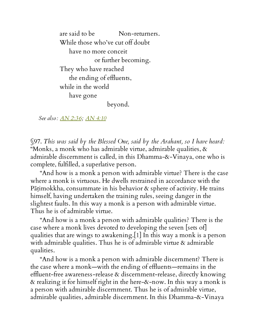are said to be Non-returners. While those who've cut off doubt have no more conceit or further becoming. They who have reached the ending of effluents, while in the world have gone beyond.

*See also: AN [2:36;](http://www.accesstoinsight.org/tipitaka/an/an02/an02.036.than.html) AN [4:10](http://www.accesstoinsight.org/tipitaka/an/an04/an04.010.than.html)*

§97. *This was said by the Blessed One, said by the Arahant, so I have heard:* "Monks, a monk who has admirable virtue, admirable qualities,  $\alpha$ admirable discernment is called, in this Dhamma-&-Vinaya, one who is complete, fulfilled, a superlative person.

"And how is a monk a person with admirable virtue? There is the case where a monk is virtuous. He dwells restrained in accordance with the Pāṭimokkha, consummate in his behavior & sphere of activity. He trains himself, having undertaken the training rules, seeing danger in the slightest faults. In this way a monk is a person with admirable virtue. Thus he is of admirable virtue.

"And how is a monk a person with admirable qualities? There is the case where a monk lives devoted to developing the seven [sets of] qualities that are wings to awakening.[1] In this way a monk is a person with admirable qualities. Thus he is of admirable virtue & admirable qualities.

"And how is a monk a person with admirable discernment? There is the case where a monk—with the ending of effluents—remains in the effluent-free awareness-release & discernment-release, directly knowing & realizing it for himself right in the here-&-now. In this way a monk is a person with admirable discernment. Thus he is of admirable virtue, admirable qualities, admirable discernment. In this Dhamma-&-Vinaya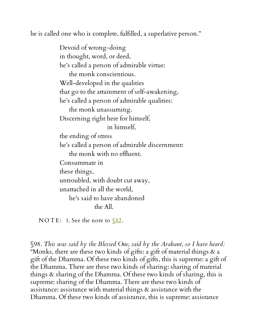he is called one who is complete, fulfilled, a superlative person."

Devoid of wrong-doing in thought, word, or deed, he's called a person of admirable virtue: the monk conscientious. Well-developed in the qualities that go to the attainment of self-awakening, he's called a person of admirable qualities: the monk unassuming. Discerning right here for himself, in himself, the ending of stress he's called a person of admirable discernment: the monk with no effluent. Consummate in these things, untroubled, with doubt cut away, unattached in all the world, he's said to have abandoned the All.

NOTE: 1. See the note to  $\sqrt{82}$ .

§98. *This was said by the Blessed One, said by the Arahant, so I have heard:* "Monks, there are these two kinds of gifts: a gift of material things & a gift of the Dhamma. Of these two kinds of gifts, this is supreme: a gift of the Dhamma. There are these two kinds of sharing: sharing of material things & sharing of the Dhamma. Of these two kinds of sharing, this is supreme: sharing of the Dhamma. There are these two kinds of assistance: assistance with material things & assistance with the Dhamma. Of these two kinds of assistance, this is supreme: assistance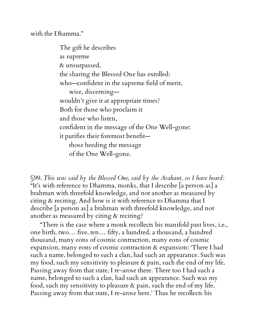with the Dhamma."

The gift he describes as supreme & unsurpassed, the sharing the Blessed One has extolled: who—confident in the supreme field of merit, wise, discerning wouldn't give it at appropriate times? Both for those who proclaim it and those who listen, confident in the message of the One Well-gone: it purifies their foremost benefit those heeding the message of the One Well-gone.

§99. *This was said by the Blessed One, said by the Arahant, so I have heard:* "It's with reference to Dhamma, monks, that I describe [a person as] a brahman with threefold knowledge, and not another as measured by citing & reciting. And how is it with reference to Dhamma that I describe [a person as] a brahman with threefold knowledge, and not another as measured by citing & reciting?

"There is the case where a monk recollects his manifold past lives, i.e., one birth, two… five, ten… fifty, a hundred, a thousand, a hundred thousand, many eons of cosmic contraction, many eons of cosmic expansion, many eons of cosmic contraction & expansion: 'There I had such a name, belonged to such a clan, had such an appearance. Such was my food, such my sensitivity to pleasure  $\alpha$  pain, such the end of my life. Passing away from that state, I re-arose there. There too I had such a name, belonged to such a clan, had such an appearance. Such was my food, such my sensitivity to pleasure & pain, such the end of my life. Passing away from that state, I re-arose here.' Thus he recollects his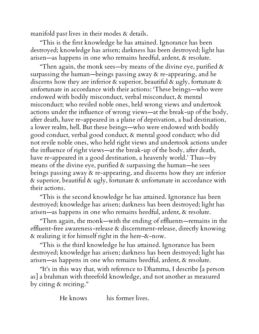manifold past lives in their modes & details.

"This is the first knowledge he has attained. Ignorance has been destroyed; knowledge has arisen; darkness has been destroyed; light has arisen—as happens in one who remains heedful, ardent, & resolute.

"Then again, the monk sees—by means of the divine eye, purified  $\alpha$ surpassing the human—beings passing away  $\alpha$  re-appearing, and he discerns how they are inferior  $\alpha$  superior, beautiful  $\alpha$  ugly, fortunate  $\alpha$ unfortunate in accordance with their actions: 'These beings—who were endowed with bodily misconduct, verbal misconduct, & mental misconduct; who reviled noble ones, held wrong views and undertook actions under the influence of wrong views—at the break-up of the body, after death, have re-appeared in a plane of deprivation, a bad destination, a lower realm, hell. But these beings—who were endowed with bodily good conduct, verbal good conduct, & mental good conduct; who did not revile noble ones, who held right views and undertook actions under the influence of right views—at the break-up of the body, after death, have re-appeared in a good destination, a heavenly world.' Thus—by means of the divine eye, purified  $\alpha$  surpassing the human—he sees beings passing away & re-appearing, and discerns how they are inferior & superior, beautiful & ugly, fortunate & unfortunate in accordance with their actions.

"This is the second knowledge he has attained. Ignorance has been destroyed; knowledge has arisen; darkness has been destroyed; light has arisen—as happens in one who remains heedful, ardent, & resolute.

"Then again, the monk—with the ending of effluents—remains in the effluent-free awareness-release & discernment-release, directly knowing & realizing it for himself right in the here-&-now.

"This is the third knowledge he has attained. Ignorance has been destroyed; knowledge has arisen; darkness has been destroyed; light has arisen—as happens in one who remains heedful, ardent, & resolute.

"It's in this way that, with reference to Dhamma, I describe [a person as] a brahman with threefold knowledge, and not another as measured by citing & reciting."

He knows his former lives.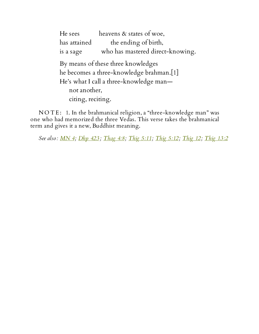He sees heavens & states of woe, has attained the ending of birth, is a sage who has mastered direct-knowing. By means of these three knowledges he becomes a three-knowledge brahman.[1] He's what I call a three-knowledge man not another, citing, reciting.

NOTE: 1. In the brahmanical religion, a "three-knowledge man" was one who had memorized the three Vedas. This verse takes the brahmanical term and gives it a new, Buddhist meaning.

*See also: [MN](http://www.accesstoinsight.org/tipitaka/mn/mn.004.than.html) 4; [Dhp](http://www.accesstoinsight.org/tipitaka/kn/dhp/dhp.26.than.html) 423 ; [Thag](http://www.accesstoinsight.org/tipitaka/kn/thag/thag.04.08.than.html) 4:8; [Thig](http://www.accesstoinsight.org/tipitaka/kn/thig/thig.05.11.than.html) 5:11; [Thig](http://www.accesstoinsight.org/tipitaka/kn/thig/thig.05.12.than.html) 5:12; [Thig](http://www.accesstoinsight.org/tipitaka/kn/thig/thig.12.01.than.html) 12; Thig [13:2](http://www.accesstoinsight.org/tipitaka/kn/thig/thig.13.02.than.html)*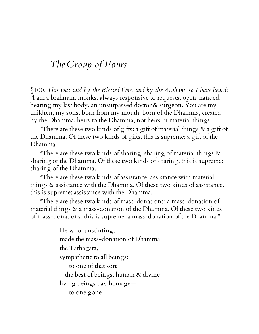## *The Group of Fours*

§100. *This was said by the Blessed One, said by the Arahant, so I have heard:* "I am a brahman, monks, always responsive to requests, open-handed, bearing my last body, an unsurpassed doctor & surgeon. You are my children, my sons, born from my mouth, born of the Dhamma, created by the Dhamma, heirs to the Dhamma, not heirs in material things.

"There are these two kinds of gifts: a gift of material things  $\alpha$  a gift of the Dhamma. Of these two kinds of gifts, this is supreme: a gift of the Dhamma.

"There are these two kinds of sharing: sharing of material things  $\alpha$ sharing of the Dhamma. Of these two kinds of sharing, this is supreme: sharing of the Dhamma.

"There are these two kinds of assistance: assistance with material things & assistance with the Dhamma. Of these two kinds of assistance, this is supreme: assistance with the Dhamma.

"There are these two kinds of mass-donations: a mass-donation of material things & a mass-donation of the Dhamma. Of these two kinds of mass-donations, this is supreme: a mass-donation of the Dhamma."

> He who, unstinting, made the mass-donation of Dhamma, the Tathāgata, sympathetic to all beings: to one of that sort —the best of beings, human & divine living beings pay homage to one gone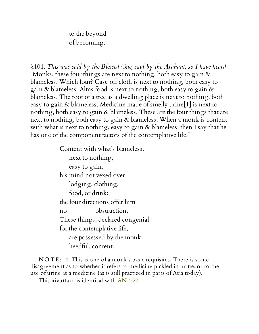to the beyond of becoming.

§101. *This was said by the Blessed One, said by the Arahant, so I have heard:* "Monks, these four things are next to nothing, both easy to gain & blameless. Which four? Cast-off cloth is next to nothing, both easy to gain & blameless. Alms food is next to nothing, both easy to gain & blameless. The root of a tree as a dwelling place is next to nothing, both easy to gain & blameless. Medicine made of smelly urine[1] is next to nothing, both easy to gain & blameless. These are the four things that are next to nothing, both easy to gain & blameless. When a monk is content with what is next to nothing, easy to gain & blameless, then I say that he has one of the component factors of the contemplative life."

> Content with what's blameless, next to nothing, easy to gain, his mind not vexed over lodging, clothing, food, or drink: the four directions offer him no obstruction. These things, declared congenial for the contemplative life, are possessed by the monk heedful, content.

NOTE: 1. This is one of a monk's basic requisites. There is some disagreement as to whether it refers to medicine pickled in urine, or to the use of urine as a medicine (as is still practiced in parts of Asia today).

This itivuttaka is identical with AN [4:27.](http://www.accesstoinsight.org/tipitaka/an/an04/an04.027.than.html)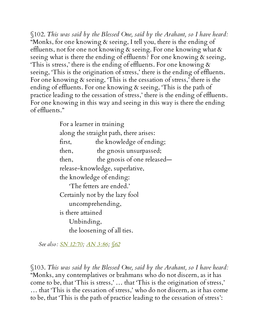§102. *This was said by the Blessed One, said by the Arahant, so I have heard:* "Monks, for one knowing  $\alpha$  seeing, I tell you, there is the ending of effluents, not for one not knowing & seeing. For one knowing what & seeing what is there the ending of effluents? For one knowing & seeing, This is stress,' there is the ending of effluents. For one knowing  $\alpha$ seeing, 'This is the origination of stress,' there is the ending of effluents. For one knowing & seeing, 'This is the cessation of stress,' there is the ending of effluents. For one knowing & seeing, 'This is the path of practice leading to the cessation of stress,' there is the ending of effluents. For one knowing in this way and seeing in this way is there the ending of effluents."

> For a learner in training along the straight path, there arises: first, the knowledge of ending; then, the gnosis unsurpassed; then, the gnosis of one released release-knowledge, superlative, the knowledge of ending: 'The fetters are ended.' Certainly not by the lazy fool uncomprehending, is there attained Unbinding, the loosening of all ties.

*See also: SN [12:70;](http://www.accesstoinsight.org/tipitaka/sn/sn12/sn12.070.than.html) AN [3:86;](http://www.accesstoinsight.org/tipitaka/an/an03/an03.086.than.html) [§62](#page-53-0)*

§103. *This was said by the Blessed One, said by the Arahant, so I have heard:* "Monks, any contemplatives or brahmans who do not discern, as it has come to be, that 'This is stress,' … that 'This is the origination of stress,' … that 'This is the cessation of stress,' who do not discern, as it has come to be, that 'This is the path of practice leading to the cessation of stress':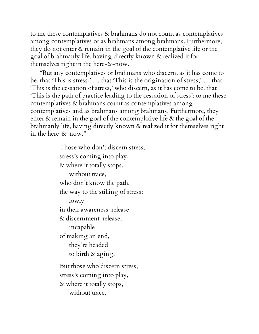to me these contemplatives & brahmans do not count as contemplatives among contemplatives or as brahmans among brahmans. Furthermore, they do not enter & remain in the goal of the contemplative life or the goal of brahmanly life, having directly known & realized it for themselves right in the here-&-now.

"But any contemplatives or brahmans who discern, as it has come to be, that 'This is stress,' … that 'This is the origination of stress,' … that 'This is the cessation of stress,' who discern, as it has come to be, that 'This is the path of practice leading to the cessation of stress': to me these contemplatives & brahmans count as contemplatives among contemplatives and as brahmans among brahmans. Furthermore, they enter & remain in the goal of the contemplative life & the goal of the brahmanly life, having directly known & realized it for themselves right in the here-&-now."

> Those who don't discern stress, stress's coming into play, & where it totally stops, without trace, who don't know the path, the way to the stilling of stress: lowly in their awareness-release & discernment-release, incapable of making an end, they're headed to birth & aging. But those who discern stress, stress's coming into play, & where it totally stops, without trace,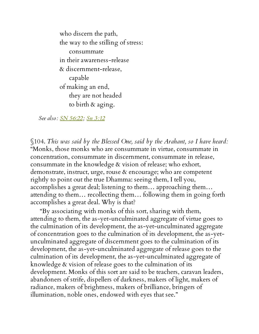who discern the path, the way to the stilling of stress: consummate in their awareness-release & discernment-release, capable of making an end, they are not headed to birth & aging.

*See also: SN [56:22;](http://www.accesstoinsight.org/tipitaka/sn/sn56/sn56.022.than.html) Sn [3:12](http://www.accesstoinsight.org/tipitaka/kn/snp/snp.3.12.than.html)*

§104. *This was said by the Blessed One, said by the Arahant, so I have heard:* "Monks, those monks who are consummate in virtue, consummate in concentration, consummate in discernment, consummate in release, consummate in the knowledge & vision of release; who exhort, demonstrate, instruct, urge, rouse & encourage; who are competent rightly to point out the true Dhamma: seeing them, I tell you, accomplishes a great deal; listening to them… approaching them… attending to them… recollecting them… following them in going forth accomplishes a great deal. Why is that?

"By associating with monks of this sort, sharing with them, attending to them, the as-yet-unculminated aggregate of virtue goes to the culmination of its development, the as-yet-unculminated aggregate of concentration goes to the culmination of its development, the as-yetunculminated aggregate of discernment goes to the culmination of its development, the as-yet-unculminated aggregate of release goes to the culmination of its development, the as-yet-unculminated aggregate of knowledge & vision of release goes to the culmination of its development. Monks of this sort are said to be teachers, caravan leaders, abandoners of strife, dispellers of darkness, makers of light, makers of radiance, makers of brightness, makers of brilliance, bringers of illumination, noble ones, endowed with eyes that see."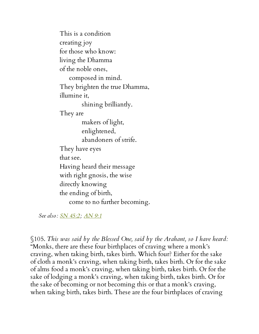This is a condition creating joy for those who know: living the Dhamma of the noble ones, composed in mind. They brighten the true Dhamma, illumine it, shining brilliantly. They are makers of light, enlightened, abandoners of strife. They have eyes that see. Having heard their message with right gnosis, the wise directly knowing the ending of birth, come to no further becoming.

*See also: SN [45:2;](http://www.accesstoinsight.org/tipitaka/sn/sn45/sn45.002.than.html) [AN](http://www.accesstoinsight.org/tipitaka/an/an09/an09.001.than.html) 9:1*

§105. *This was said by the Blessed One, said by the Arahant, so I have heard:* "Monks, there are these four birthplaces of craving where a monk's craving, when taking birth, takes birth. Which four? Either for the sake of cloth a monk's craving, when taking birth, takes birth. Or for the sake of alms food a monk's craving, when taking birth, takes birth. Or for the sake of lodging a monk's craving, when taking birth, takes birth. Or for the sake of becoming or not becoming this or that a monk's craving, when taking birth, takes birth. These are the four birthplaces of craving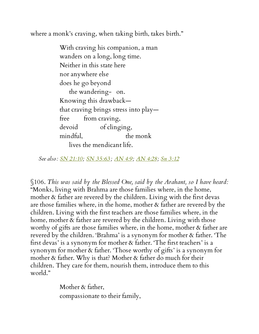where a monk's craving, when taking birth, takes birth."

With craving his companion, a man wanders on a long, long time. Neither in this state here nor anywhere else does he go beyond the wandering- on. Knowing this drawback that craving brings stress into play free from craving, devoid of clinging, mindful, the monk lives the mendicant life.

*See also: SN [21:10;](http://www.accesstoinsight.org/tipitaka/sn/sn21/sn21.010.than.html) SN [35:63](http://www.accesstoinsight.org/tipitaka/sn/sn35/sn35.063.than.html) ; [AN](http://www.accesstoinsight.org/tipitaka/an/an04/an04.009.than.html) 4:9; AN [4:28](http://www.accesstoinsight.org/tipitaka/an/an04/an04.028.than.html); Sn [3:12](http://www.accesstoinsight.org/tipitaka/kn/snp/snp.3.12.than.html)*

§106. *This was said by the Blessed One, said by the Arahant, so I have heard:* "Monks, living with Brahma are those families where, in the home, mother & father are revered by the children. Living with the first devas are those families where, in the home, mother & father are revered by the children. Living with the first teachers are those families where, in the home, mother & father are revered by the children. Living with those worthy of gifts are those families where, in the home, mother & father are revered by the children. 'Brahma' is a synonym for mother & father. 'The first devas' is a synonym for mother & father. 'The first teachers' is a synonym for mother & father. 'Those worthy of gifts' is a synonym for mother & father. Why is that? Mother & father do much for their children. They care for them, nourish them, introduce them to this world."

> Mother & father, compassionate to their family,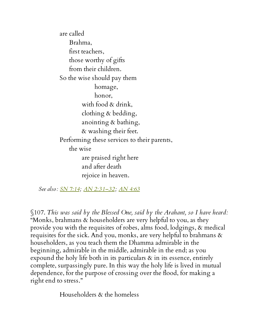are called Brahma, first teachers, those worthy of gifts from their children. So the wise should pay them homage, honor, with food & drink, clothing & bedding, anointing & bathing, & washing their feet. Performing these services to their parents, the wise are praised right here and after death rejoice in heaven.

*See also: SN [7:14](http://www.accesstoinsight.org/tipitaka/sn/sn07/sn07.014.than.html); AN [2:31–32](http://www.accesstoinsight.org/tipitaka/an/an02/an02.031.than.html); AN [4:63](http://www.accesstoinsight.org/tipitaka/an/an04/an04.063.than.html)*

§107. *This was said by the Blessed One, said by the Arahant, so I have heard:* "Monks, brahmans & householders are very helpful to you, as they provide you with the requisites of robes, alms food, lodgings, & medical requisites for the sick. And you, monks, are very helpful to brahmans & householders, as you teach them the Dhamma admirable in the beginning, admirable in the middle, admirable in the end; as you expound the holy life both in its particulars  $\alpha$  in its essence, entirely complete, surpassingly pure. In this way the holy life is lived in mutual dependence, for the purpose of crossing over the flood, for making a right end to stress."

Householders & the homeless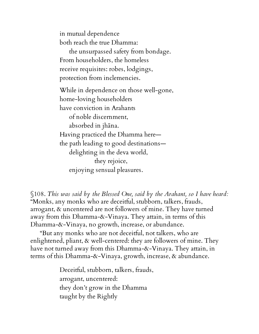in mutual dependence both reach the true Dhamma:

the unsurpassed safety from bondage. From householders, the homeless receive requisites: robes, lodgings, protection from inclemencies.

While in dependence on those well-gone, home-loving householders have conviction in Arahants of noble discernment, absorbed in jhāna. Having practiced the Dhamma here the path leading to good destinations delighting in the deva world, they rejoice, enjoying sensual pleasures.

§108. *This was said by the Blessed One, said by the Arahant, so I have heard:* "Monks, any monks who are deceitful, stubborn, talkers, frauds, arrogant, & uncentered are not followers of mine. They have turned away from this Dhamma-&-Vinaya. They attain, in terms of this Dhamma-&-Vinaya, no growth, increase, or abundance.

"But any monks who are not deceitful, not talkers, who are enlightened, pliant, & well-centered: they are followers of mine. They have not turned away from this Dhamma-&-Vinaya. They attain, in terms of this Dhamma-&-Vinaya, growth, increase, & abundance.

> Deceitful, stubborn, talkers, frauds, arrogant, uncentered: they don't grow in the Dhamma taught by the Rightly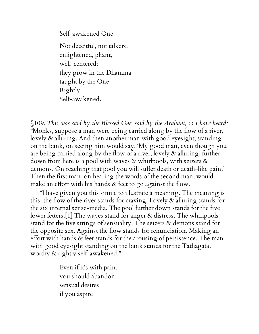Self-awakened One.

Not deceitful, not talkers, enlightened, pliant, well-centered: they grow in the Dhamma taught by the One Rightly Self-awakened.

§109. *This was said by the Blessed One, said by the Arahant, so I have heard:* "Monks, suppose a man were being carried along by the flow of a river, lovely & alluring. And then another man with good eyesight, standing on the bank, on seeing him would say, 'My good man, even though you are being carried along by the flow of a river, lovely & alluring, further down from here is a pool with waves & whirlpools, with seizers & demons. On reaching that pool you will suffer death or death-like pain.' Then the first man, on hearing the words of the second man, would make an effort with his hands & feet to go against the flow.

"I have given you this simile to illustrate a meaning. The meaning is this: the flow of the river stands for craving. Lovely & alluring stands for the six internal sense-media. The pool further down stands for the five lower fetters.[1] The waves stand for anger & distress. The whirlpools stand for the five strings of sensuality. The seizers & demons stand for the opposite sex. Against the flow stands for renunciation. Making an effort with hands & feet stands for the arousing of persistence. The man with good eyesight standing on the bank stands for the Tathāgata, worthy & rightly self-awakened."

> Even if it's with pain, you should abandon sensual desires if you aspire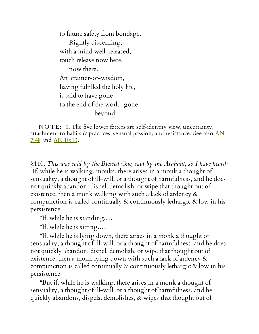to future safety from bondage. Rightly discerning, with a mind well-released, touch release now here, now there. An attainer-of-wisdom, having fulfilled the holy life, is said to have gone to the end of the world, gone beyond.

NOTE: 1. The five lower fetters are self-identity view, uncertainty, [attachment](http://www.accesstoinsight.org/tipitaka/an/an07/an07.048.than.html) to habits & practices, sensual passion, and resistance. See also  $\Delta N$ 7:48 and  $AN$  [10:13.](http://www.accesstoinsight.org/tipitaka/an/an10/an10.013.than.html)

§110. *This was said by the Blessed One, said by the Arahant, so I have heard:* "If, while he is walking, monks, there arises in a monk a thought of sensuality, a thought of ill-will, or a thought of harmfulness, and he does not quickly abandon, dispel, demolish, or wipe that thought out of existence, then a monk walking with such a lack of ardency  $\&$ compunction is called continually  $\&$  continuously lethargic  $\&$  low in his persistence.

"If, while he is standing.…

"If, while he is sitting.…

"If, while he is lying down, there arises in a monk a thought of sensuality, a thought of ill-will, or a thought of harmfulness, and he does not quickly abandon, dispel, demolish, or wipe that thought out of existence, then a monk lying down with such a lack of ardency & compunction is called continually  $\&$  continuously lethargic  $\&$  low in his persistence.

"But if, while he is walking, there arises in a monk a thought of sensuality, a thought of ill-will, or a thought of harmfulness, and he quickly abandons, dispels, demolishes, & wipes that thought out of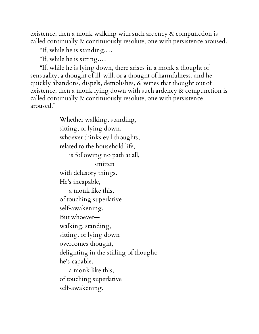existence, then a monk walking with such ardency & compunction is called continually & continuously resolute, one with persistence aroused.

"If, while he is standing.…

"If, while he is sitting.…

"If, while he is lying down, there arises in a monk a thought of sensuality, a thought of ill-will, or a thought of harmfulness, and he quickly abandons, dispels, demolishes, & wipes that thought out of existence, then a monk lying down with such ardency & compunction is called continually & continuously resolute, one with persistence aroused."

> Whether walking, standing, sitting, or lying down, whoever thinks evil thoughts, related to the household life, is following no path at all, smitten with delusory things. He's incapable, a monk like this, of touching superlative self-awakening. But whoever walking, standing, sitting, or lying down overcomes thought, delighting in the stilling of thought: he's capable, a monk like this, of touching superlative self-awakening.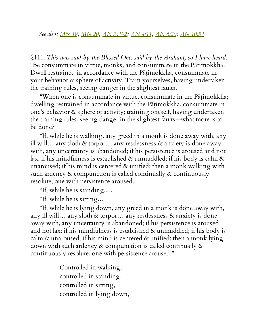§111. *This was said by the Blessed One, said by the Arahant, so I have heard:* "Be consummate in virtue, monks, and consummate in the Pāṭimokkha. Dwell restrained in accordance with the Patimokkha, consummate in your behavior & sphere of activity. Train yourselves, having undertaken the training rules, seeing danger in the slightest faults.

"When one is consummate in virtue, consummate in the Pāṭimokkha; dwelling restrained in accordance with the Patimokkha, consummate in one's behavior & sphere of activity; training oneself, having undertaken the training rules, seeing danger in the slightest faults—what more is to be done?

"If, while he is walking, any greed in a monk is done away with, any ill will... any sloth  $\&$  torpor... any restlessness  $\&$  anxiety is done away with, any uncertainty is abandoned; if his persistence is aroused and not lax; if his mindfulness is established  $\alpha$  unmuddled; if his body is calm  $\alpha$ unaroused; if his mind is centered & unified: then a monk walking with such ardency & compunction is called continually & continuously resolute, one with persistence aroused.

"If, while he is standing.…

"If, while he is sitting.…

"If, while he is lying down, any greed in a monk is done away with, any ill will… any sloth & torpor… any restlessness & anxiety is done away with, any uncertainty is abandoned; if his persistence is aroused and not lax; if his mindfulness is established & unmuddled; if his body is calm & unaroused; if his mind is centered & unified: then a monk lying down with such ardency & compunction is called continually & continuously resolute, one with persistence aroused."

> Controlled in walking, controlled in standing, controlled in sitting, controlled in lying down,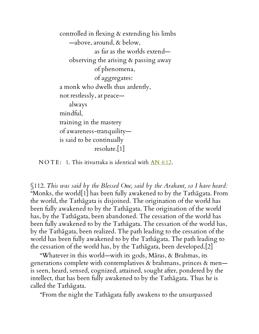controlled in flexing & extending his limbs —above, around, & below, as far as the worlds extend observing the arising & passing away of phenomena, of aggregates: a monk who dwells thus ardently, not restlessly, at peace always mindful, training in the mastery of awareness-tranquility is said to be continually resolute.[1]

 $NOTE: 1. This itivuttaka is identical with  $AN 4:12$ .$ 

<span id="page-112-0"></span>§112. *This was said by the Blessed One, said by the Arahant, so I have heard:* "Monks, the world[1] has been fully awakened to by the Tathāgata. From the world, the Tathāgata is disjoined. The origination of the world has been fully awakened to by the Tathāgata. The origination of the world has, by the Tathāgata, been abandoned. The cessation of the world has been fully awakened to by the Tathāgata. The cessation of the world has, by the Tathāgata, been realized. The path leading to the cessation of the world has been fully awakened to by the Tathāgata. The path leading to the cessation of the world has, by the Tathāgata, been developed.[2]

"Whatever in this world—with its gods, Māras, & Brahmas, its generations complete with contemplatives & brahmans, princes & men is seen, heard, sensed, cognized, attained, sought after, pondered by the intellect, that has been fully awakened to by the Tathāgata. Thus he is called the Tathāgata.

"From the night the Tathāgata fully awakens to the unsurpassed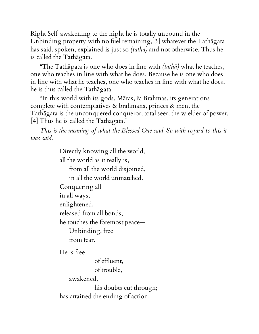Right Self-awakening to the night he is totally unbound in the Unbinding property with no fuel remaining,[3] whatever the Tathāgata has said, spoken, explained is just so *(tatha)* and not otherwise. Thus he is called the Tathāgata.

"The Tathāgata is one who does in line with *(tathā)* what he teaches, one who teaches in line with what he does. Because he is one who does in line with what he teaches, one who teaches in line with what he does, he is thus called the Tathāgata.

"In this world with its gods, Māras, & Brahmas, its generations complete with contemplatives & brahmans, princes & men, the Tathāgata is the unconquered conqueror, total seer, the wielder of power. [4] Thus he is called the Tathāgata."

*This is the meaning of what the Blessed One said. So with regard to this it was said:*

Directly knowing all the world,

all the world as it really is,

from all the world disjoined,

in all the world unmatched.

Conquering all

in all ways,

enlightened,

released from all bonds,

he touches the foremost peace—

Unbinding, free from fear.

He is free

of effluent, of trouble,

awakened,

his doubts cut through; has attained the ending of action,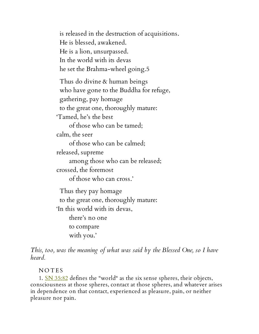is released in the destruction of acquisitions. He is blessed, awakened. He is a lion, unsurpassed. In the world with its devas he set the Brahma-wheel going.5

Thus do divine & human beings who have gone to the Buddha for refuge, gathering, pay homage to the great one, thoroughly mature: 'Tamed, he's the best

of those who can be tamed;

calm, the seer

of those who can be calmed;

released, supreme

among those who can be released;

crossed, the foremost

of those who can cross.'

Thus they pay homage to the great one, thoroughly mature: 'In this world with its devas, there's no one to compare with you.'

*This, too, was the meaning of what was said by the Blessed One, so I have heard.*

## **NOTES**

1. SN [35:82](http://www.accesstoinsight.org/tipitaka/sn/sn35/sn35.082.than.html) defines the "world" as the six sense spheres, their objects, consciousness at those spheres, contact at those spheres, and whatever arises in dependence on that contact, experienced as pleasure, pain, or neither pleasure nor pain.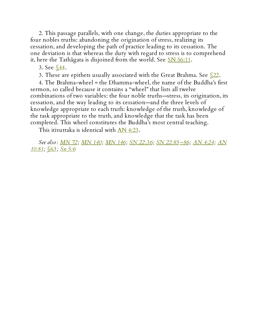2. This passage parallels, with one change, the duties appropriate to the four nobles truths: abandoning the origination of stress, realizing its cessation, and developing the path of practice leading to its cessation. The one deviation is that whereas the duty with regard to stress is to comprehend it, here the Tathāgata is disjoined from the world. See  $\frac{\text{SN }56:11}{\text{SN }61:11}$ .

3. See <u>§44</u>.

3. These are epithets usually associated with the Great Brahma. See  $\frac{\sqrt{22}}{2}$ .

4. The Brahma-wheel = the Dhamma-wheel, the name of the Buddha's first sermon, so called because it contains a "wheel" that lists all twelve combinations of two variables: the four noble truths—stress, its origination, its cessation, and the way leading to its cessation—and the three levels of knowledge appropriate to each truth: knowledge of the truth, knowledge of the task appropriate to the truth, and knowledge that the task has been completed. This wheel constitutes the Buddha's most central teaching.

This itivuttaka is identical with AN [4:23.](http://www.accesstoinsight.org/tipitaka/an/an04/an04.023.than.html)

*See also: [MN](http://www.accesstoinsight.org/tipitaka/mn/mn.072.than.html) 72; [MN](http://www.accesstoinsight.org/tipitaka/mn/mn.140.than.html) 140; [MN](http://www.accesstoinsight.org/tipitaka/mn/mn.146.than.html) 146; SN [22:36](http://www.accesstoinsight.org/tipitaka/sn/sn22/sn22.036.than.html)[;](http://www.accesstoinsight.org/tipitaka/an/an10/an10.081.than.html) SN [22:85](http://www.accesstoinsight.org/tipitaka/sn/sn22/sn22.085.than.html) [–86;](http://www.accesstoinsight.org/tipitaka/sn/sn22/sn22.086.than.html) AN [4:24](http://www.accesstoinsight.org/tipitaka/an/an04/an04.024.than.html); AN 10:81; [§63](#page-55-0) ; Sn [5:6](http://www.accesstoinsight.org/tipitaka/kn/snp/snp.5.06.than.html)*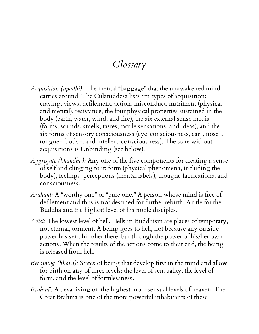## *Glossary*

- *Acquisition (upadhi):* The mental "baggage" that the unawakened mind carries around. The Culaniddesa lists ten types of acquisition: craving, views, defilement, action, misconduct, nutriment (physical and mental), resistance, the four physical properties sustained in the body (earth, water, wind, and fire), the six external sense media (forms, sounds, smells, tastes, tactile sensations, and ideas), and the six forms of sensory consciousness (eye-consciousness, ear-, nose-, tongue-, body-, and intellect-consciousness). The state without acquisitions is Unbinding (see below).
- *Aggregate (khandha):* Any one of the five components for creating a sense of self and clinging to it: form (physical phenomena, including the body), feelings, perceptions (mental labels), thought-fabrications, and consciousness.
- *Arahant:* A "worthy one" or "pure one." A person whose mind is free of defilement and thus is not destined for further rebirth. A title for the Buddha and the highest level of his noble disciples.
- *Avīci:* The lowest level of hell. Hells in Buddhism are places of temporary, not eternal, torment. A being goes to hell, not because any outside power has sent him/her there, but through the power of his/her own actions. When the results of the actions come to their end, the being is released from hell.
- *Becoming (bhava):* States of being that develop first in the mind and allow for birth on any of three levels: the level of sensuality, the level of form, and the level of formlessness.
- *Brahmā:* A deva living on the highest, non-sensual levels of heaven. The Great Brahma is one of the more powerful inhabitants of these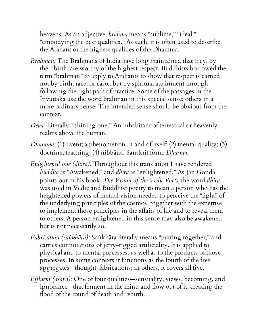heavens. As an adjective, *brahma* means "sublime," "ideal," "embodying the best qualities." As such, it is often used to describe the Arahant or the highest qualities of the Dhamma.

- *Brahman:* The Brahmans of India have long maintained that they, by their birth, are worthy of the highest respect. Buddhists borrowed the term "brahman" to apply to Arahants to show that respect is earned not by birth, race, or caste, but by spiritual attainment through following the right path of practice. Some of the passages in the Itivuttaka use the word brahman in this special sense; others in a more ordinary sense. The intended sense should be obvious from the context.
- *Deva:* Literally, "shining one." An inhabitant of terrestrial or heavenly realms above the human.
- *Dhamma:* (1) Event; a phenomenon in and of itself; (2) mental quality; (3) doctrine, teaching; (4) nibbāna. Sanskrit form: *Dharma.*
- *Enlightened one (dhīra):* Throughout this translation I have rendered *buddha* as "Awakened," and *dhīra* as "enlightened." As Jan Gonda points out in his book, *The Vision of the Vedic Poets,* the word *dhīra* was used in Vedic and Buddhist poetry to mean a person who has the heightened powers of mental vision needed to perceive the "light" of the underlying principles of the cosmos, together with the expertise to implement those principles in the affairs of life and to reveal them to others. A person enlightened in this sense may also be awakened, but is not necessarily so.
- *Fabrication (saṅkhāra):* Saṅkhāra literally means "putting together," and carries connotations of jerry-rigged artificiality. It is applied to physical and to mental processes, as well as to the products of those processes. In some contexts it functions as the fourth of the five aggregates—thought-fabrications; in others, it covers all five.
- *Effluent* (*āsava*): One of four qualities—sensuality, views, becoming, and ignorance—that ferment in the mind and flow out of it, creating the flood of the round of death and rebirth.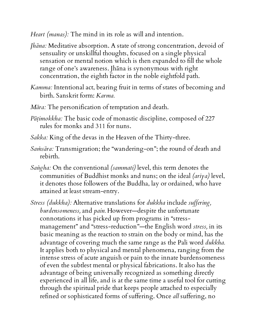*Heart (manas):* The mind in its role as will and intention.

- *Jhāna:* Meditative absorption. A state of strong concentration, devoid of sensuality or unskillful thoughts, focused on a single physical sensation or mental notion which is then expanded to fill the whole range of one's awareness. Jhāna is synonymous with right concentration, the eighth factor in the noble eightfold path.
- *Kamma:* Intentional act, bearing fruit in terms of states of becoming and birth. Sanskrit form: *Karma.*
- *Māra:* The personification of temptation and death.
- *Pāṭimokkha:* The basic code of monastic discipline, composed of 227 rules for monks and 311 for nuns.
- *Sakka:* King of the devas in the Heaven of the Thirty-three.
- *Saṁsāra:* Transmigration; the "wandering-on"; the round of death and rebirth.
- *Saṅgha:* On the conventional *(sammati)* level, this term denotes the communities of Buddhist monks and nuns; on the ideal *(ariya)* level, it denotes those followers of the Buddha, lay or ordained, who have attained at least stream-entry.
- *Stress (dukkha)*: Alternative translations for *dukkha* include *suffering*, *burdensomeness,* and *pain.* However—despite the unfortunate connotations it has picked up from programs in "stressmanagement" and "stress-reduction"—the English word *stress,* in its basic meaning as the reaction to strain on the body or mind, has the advantage of covering much the same range as the Pali word *dukkha.* It applies both to physical and mental phenomena, ranging from the intense stress of acute anguish or pain to the innate burdensomeness of even the subtlest mental or physical fabrications. It also has the advantage of being universally recognized as something directly experienced in all life, and is at the same time a useful tool for cutting through the spiritual pride that keeps people attached to especially refined or sophisticated forms of suffering. Once *all* suffering, no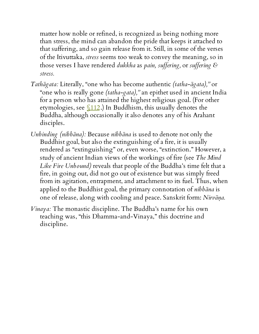matter how noble or refined, is recognized as being nothing more than stress, the mind can abandon the pride that keeps it attached to that suffering, and so gain release from it. Still, in some of the verses of the Itivuttaka, *stress* seems too weak to convey the meaning, so in those verses I have rendered *dukkha* as *pain, suf ering,* or *suf ering & stress.*

- *Tathāgata:* Literally, "one who has become authentic *(tatha-āgata),"* or "one who is really gone *(tatha-gata),"* an epithet used in ancient India for a person who has attained the highest religious goal. (For other etymologies, see  $\frac{\sqrt{112}}{2}$ . In Buddhism, this usually denotes the Buddha, although occasionally it also denotes any of his Arahant disciples.
- *Unbinding (nibbāna):* Because *nibbāna* is used to denote not only the Buddhist goal, but also the extinguishing of a fire, it is usually rendered as "extinguishing" or, even worse, "extinction." However, a study of ancient Indian views of the workings of fire (see *The Mind Like Fire Unbound)* reveals that people of the Buddha's time felt that a fire, in going out, did not go out of existence but was simply freed from its agitation, entrapment, and attachment to its fuel. Thus, when applied to the Buddhist goal, the primary connotation of *nibbāna* is one of release, along with cooling and peace. Sanskrit form: *Nirvāṇa.*
- *Vinaya:* The monastic discipline. The Buddha's name for his own teaching was, "this Dhamma-and-Vinaya," this doctrine and discipline.